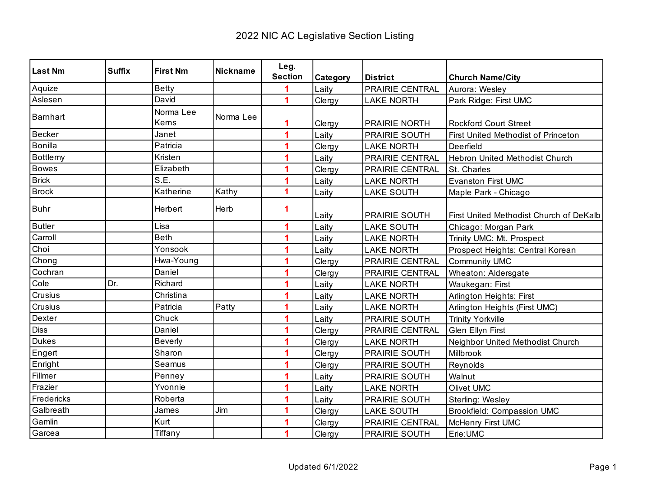| <b>Last Nm</b> | <b>Suffix</b> | <b>First Nm</b>    | <b>Nickname</b> | Leg.<br><b>Section</b> | Category | <b>District</b>        | <b>Church Name/City</b>                    |
|----------------|---------------|--------------------|-----------------|------------------------|----------|------------------------|--------------------------------------------|
| Aquize         |               | <b>Betty</b>       |                 |                        | Laity    | PRAIRIE CENTRAL        | Aurora: Wesley                             |
| Aslesen        |               | David              |                 | 4                      | Clergy   | <b>LAKE NORTH</b>      | Park Ridge: First UMC                      |
| Barnhart       |               | Norma Lee<br>Kerns | Norma Lee       | 1                      | Clergy   | <b>PRAIRIE NORTH</b>   | <b>Rockford Court Street</b>               |
| Becker         |               | Janet              |                 | 1                      | Laity    | PRAIRIE SOUTH          | <b>First United Methodist of Princeton</b> |
| Bonilla        |               | Patricia           |                 |                        | Clergy   | <b>LAKE NORTH</b>      | Deerfield                                  |
| Bottlemy       |               | Kristen            |                 |                        | Laity    | PRAIRIE CENTRAL        | Hebron United Methodist Church             |
| <b>Bowes</b>   |               | Elizabeth          |                 |                        | Clergy   | <b>PRAIRIE CENTRAL</b> | St. Charles                                |
| Brick          |               | S.E.               |                 |                        | Laity    | <b>LAKE NORTH</b>      | <b>Evanston First UMC</b>                  |
| <b>Brock</b>   |               | Katherine          | Kathy           | 1                      | Laity    | <b>LAKE SOUTH</b>      | Maple Park - Chicago                       |
| <b>Buhr</b>    |               | Herbert            | Herb            | 1                      | Laity    | <b>PRAIRIE SOUTH</b>   | First United Methodist Church of DeKalb    |
| <b>Butler</b>  |               | Lisa               |                 | 1                      | Laity    | <b>LAKE SOUTH</b>      | Chicago: Morgan Park                       |
| Carroll        |               | <b>Beth</b>        |                 | 1                      | Laity    | <b>LAKE NORTH</b>      | Trinity UMC: Mt. Prospect                  |
| Choi           |               | Yonsook            |                 |                        | Laity    | <b>LAKE NORTH</b>      | Prospect Heights: Central Korean           |
| Chong          |               | Hwa-Young          |                 | 1                      | Clergy   | PRAIRIE CENTRAL        | Community UMC                              |
| Cochran        |               | Daniel             |                 |                        | Clergy   | PRAIRIE CENTRAL        | Wheaton: Aldersgate                        |
| Cole           | Dr.           | Richard            |                 |                        | Laity    | <b>LAKE NORTH</b>      | Waukegan: First                            |
| Crusius        |               | Christina          |                 |                        | Laity    | <b>LAKE NORTH</b>      | Arlington Heights: First                   |
| Crusius        |               | Patricia           | Patty           | 1                      | Laity    | <b>LAKE NORTH</b>      | Arlington Heights (First UMC)              |
| Dexter         |               | Chuck              |                 |                        | Laity    | PRAIRIE SOUTH          | <b>Trinity Yorkville</b>                   |
| <b>Diss</b>    |               | Daniel             |                 |                        | Clergy   | PRAIRIE CENTRAL        | <b>Glen Ellyn First</b>                    |
| <b>Dukes</b>   |               | <b>Beverly</b>     |                 |                        | Clergy   | <b>LAKE NORTH</b>      | Neighbor United Methodist Church           |
| Engert         |               | Sharon             |                 |                        | Clergy   | PRAIRIE SOUTH          | Millbrook                                  |
| Enright        |               | Seamus             |                 |                        | Clergy   | PRAIRIE SOUTH          | Reynolds                                   |
| Fillmer        |               | Penney             |                 |                        | Laity    | PRAIRIE SOUTH          | Walnut                                     |
| Frazier        |               | Yvonnie            |                 |                        | Laity    | <b>LAKE NORTH</b>      | Olivet UMC                                 |
| Fredericks     |               | Roberta            |                 | 4                      | Laity    | PRAIRIE SOUTH          | Sterling: Wesley                           |
| Galbreath      |               | James              | Jim             | 1                      | Clergy   | <b>LAKE SOUTH</b>      | <b>Brookfield: Compassion UMC</b>          |
| Gamlin         |               | Kurt               |                 |                        | Clergy   | PRAIRIE CENTRAL        | McHenry First UMC                          |
| Garcea         |               | Tiffany            |                 | 1                      | Clergy   | PRAIRIE SOUTH          | Erie:UMC                                   |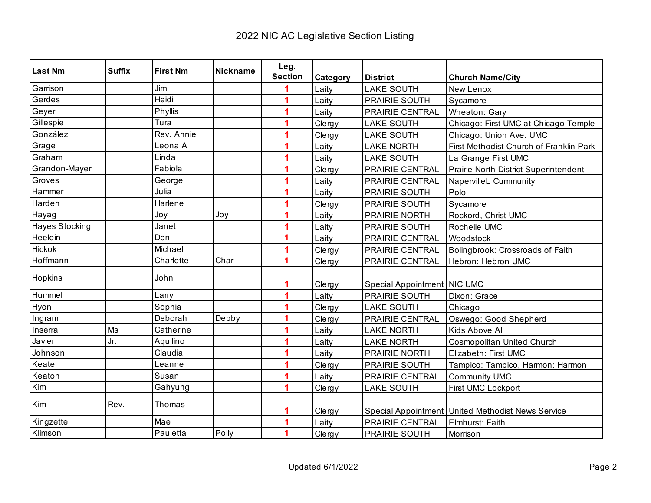| <b>Last Nm</b>        | <b>Suffix</b> | <b>First Nm</b> | <b>Nickname</b> | Leg.           |          |                             |                                                     |
|-----------------------|---------------|-----------------|-----------------|----------------|----------|-----------------------------|-----------------------------------------------------|
|                       |               |                 |                 | <b>Section</b> | Category | <b>District</b>             | <b>Church Name/City</b>                             |
| Garrison              |               | Jim             |                 |                | Laity    | <b>LAKE SOUTH</b>           | New Lenox                                           |
| Gerdes                |               | Heidi           |                 | 1              | Laity    | PRAIRIE SOUTH               | Sycamore                                            |
| Geyer                 |               | Phyllis         |                 | 1              | Laity    | PRAIRIE CENTRAL             | <b>Wheaton: Gary</b>                                |
| Gillespie             |               | Tura            |                 |                | Clergy   | <b>LAKE SOUTH</b>           | Chicago: First UMC at Chicago Temple                |
| González              |               | Rev. Annie      |                 |                | Clergy   | <b>LAKE SOUTH</b>           | Chicago: Union Ave. UMC                             |
| Grage                 |               | Leona A         |                 |                | Laity    | <b>LAKE NORTH</b>           | First Methodist Church of Franklin Park             |
| Graham                |               | Linda           |                 |                | Laity    | <b>LAKE SOUTH</b>           | La Grange First UMC                                 |
| Grandon-Mayer         |               | Fabiola         |                 |                | Clergy   | PRAIRIE CENTRAL             | Prairie North District Superintendent               |
| Groves                |               | George          |                 |                | Laity    | PRAIRIE CENTRAL             | NapervilleL Cummunity                               |
| Hammer                |               | Julia           |                 |                | Laity    | PRAIRIE SOUTH               | Polo                                                |
| Harden                |               | Harlene         |                 |                | Clergy   | PRAIRIE SOUTH               | Sycamore                                            |
| Hayag                 |               | Joy             | Joy             | 1              | Laity    | PRAIRIE NORTH               | Rockord, Christ UMC                                 |
| <b>Hayes Stocking</b> |               | Janet           |                 | 4              | Laity    | PRAIRIE SOUTH               | Rochelle UMC                                        |
| Heelein               |               | Don             |                 | 1              | Laity    | PRAIRIE CENTRAL             | Woodstock                                           |
| <b>Hickok</b>         |               | Michael         |                 |                | Clergy   | PRAIRIE CENTRAL             | Bolingbrook: Crossroads of Faith                    |
| Hoffmann              |               | Charlette       | Char            | 1              | Clergy   | PRAIRIE CENTRAL             | Hebron: Hebron UMC                                  |
| Hopkins               |               | John            |                 |                |          |                             |                                                     |
|                       |               |                 |                 | 1              | Clergy   | Special Appointment NIC UMC |                                                     |
| Hummel                |               | Larry           |                 | 1              | Laity    | PRAIRIE SOUTH               | Dixon: Grace                                        |
| Hyon                  |               | Sophia          |                 | 1              | Clergy   | <b>LAKE SOUTH</b>           | Chicago                                             |
| Ingram                |               | Deborah         | Debby           | 1              | Clergy   | PRAIRIE CENTRAL             | Oswego: Good Shepherd                               |
| Inserra               | <b>Ms</b>     | Catherine       |                 | 1              | Laity    | <b>LAKE NORTH</b>           | Kids Above All                                      |
| Javier                | Jr.           | Aquilino        |                 |                | Laity    | <b>LAKE NORTH</b>           | Cosmopolitan United Church                          |
| Johnson               |               | Claudia         |                 | 1              | Laity    | PRAIRIE NORTH               | Elizabeth: First UMC                                |
| Keate                 |               | Leanne          |                 |                | Clergy   | PRAIRIE SOUTH               | Tampico: Tampico, Harmon: Harmon                    |
| Keaton                |               | Susan           |                 |                | Laity    | PRAIRIE CENTRAL             | Community UMC                                       |
| Kim                   |               | Gahyung         |                 |                | Clergy   | <b>LAKE SOUTH</b>           | First UMC Lockport                                  |
| Kim                   | Rev.          | Thomas          |                 |                | Clergy   |                             | Special Appointment   United Methodist News Service |
| Kingzette             |               | Mae             |                 |                | Laity    | PRAIRIE CENTRAL             | Elmhurst: Faith                                     |
| Klimson               |               | Pauletta        | Polly           | 1              | Clergy   | PRAIRIE SOUTH               | Morrison                                            |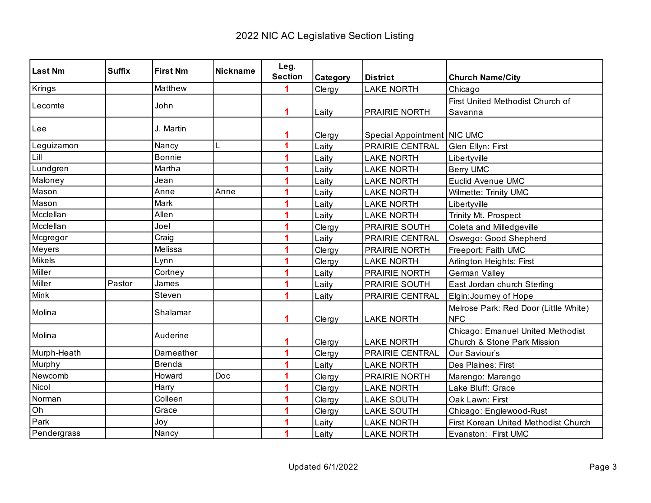| Last Nm     | <b>Suffix</b> | <b>First Nm</b> | <b>Nickname</b> | Leg.           |          |                             |                                       |
|-------------|---------------|-----------------|-----------------|----------------|----------|-----------------------------|---------------------------------------|
|             |               |                 |                 | <b>Section</b> | Category | <b>District</b>             | <b>Church Name/City</b>               |
| Krings      |               | Matthew         |                 |                | Clergy   | <b>LAKE NORTH</b>           | Chicago                               |
| Lecomte     |               | John            |                 |                |          |                             | First United Methodist Church of      |
|             |               |                 |                 | 1              | Laity    | PRAIRIE NORTH               | Savanna                               |
| Lee         |               | J. Martin       |                 |                |          |                             |                                       |
|             |               |                 |                 | 1              | Clergy   | Special Appointment NIC UMC |                                       |
| Leguizamon  |               | Nancy           | L               | 1              | Laity    | PRAIRIE CENTRAL             | Glen Ellyn: First                     |
| Lill        |               | <b>Bonnie</b>   |                 |                | Laity    | <b>LAKE NORTH</b>           | Libertyville                          |
| Lundgren    |               | Martha          |                 | 1              | Laity    | <b>LAKE NORTH</b>           | <b>Berry UMC</b>                      |
| Maloney     |               | Jean            |                 | 1              | Laity    | <b>LAKE NORTH</b>           | Euclid Avenue UMC                     |
| Mason       |               | Anne            | Anne            | 1              | Laity    | <b>LAKE NORTH</b>           | Wilmette: Trinity UMC                 |
| Mason       |               | Mark            |                 |                | Laity    | <b>LAKE NORTH</b>           | Libertyville                          |
| Mcclellan   |               | Allen           |                 | 1              | Laity    | <b>LAKE NORTH</b>           | Trinity Mt. Prospect                  |
| Mcclellan   |               | Joel            |                 | 1              | Clergy   | <b>PRAIRIE SOUTH</b>        | Coleta and Milledgeville              |
| Mcgregor    |               | Craig           |                 | 1              | Laity    | PRAIRIE CENTRAL             | Oswego: Good Shepherd                 |
| Meyers      |               | Melissa         |                 | 1              | Clergy   | <b>PRAIRIE NORTH</b>        | Freeport: Faith UMC                   |
| Mikels      |               | Lynn            |                 | 1              | Clergy   | <b>LAKE NORTH</b>           | Arlington Heights: First              |
| Miller      |               | Cortney         |                 |                | Laity    | PRAIRIE NORTH               | German Valley                         |
| Miller      | Pastor        | James           |                 |                | Laity    | PRAIRIE SOUTH               | East Jordan church Sterling           |
| <b>Mink</b> |               | Steven          |                 | 1              | Laity    | PRAIRIE CENTRAL             | Elgin: Journey of Hope                |
| Molina      |               | Shalamar        |                 |                |          |                             | Melrose Park: Red Door (Little White) |
|             |               |                 |                 | 1              | Clergy   | <b>LAKE NORTH</b>           | <b>NFC</b>                            |
| Molina      |               | Auderine        |                 |                |          |                             | Chicago: Emanuel United Methodist     |
|             |               |                 |                 | 1              | Clergy   | <b>LAKE NORTH</b>           | Church & Stone Park Mission           |
| Murph-Heath |               | Dameather       |                 | 1              | Clergy   | PRAIRIE CENTRAL             | Our Saviour's                         |
| Murphy      |               | <b>Brenda</b>   |                 | 1              | Laity    | <b>LAKE NORTH</b>           | Des Plaines: First                    |
| Newcomb     |               | Howard          | Doc             | 1              | Clergy   | <b>PRAIRIE NORTH</b>        | Marengo: Marengo                      |
| Nicol       |               | Harry           |                 | 1              | Clergy   | <b>LAKE NORTH</b>           | Lake Bluff: Grace                     |
| Norman      |               | Colleen         |                 | 1              | Clergy   | <b>LAKE SOUTH</b>           | Oak Lawn: First                       |
| Oh          |               | Grace           |                 | 1              | Clergy   | <b>LAKE SOUTH</b>           | Chicago: Englewood-Rust               |
| Park        |               | Joy             |                 |                | Laity    | <b>LAKE NORTH</b>           | First Korean United Methodist Church  |
| Pendergrass |               | Nancy           |                 | 1              | Laity    | <b>LAKE NORTH</b>           | Evanston: First UMC                   |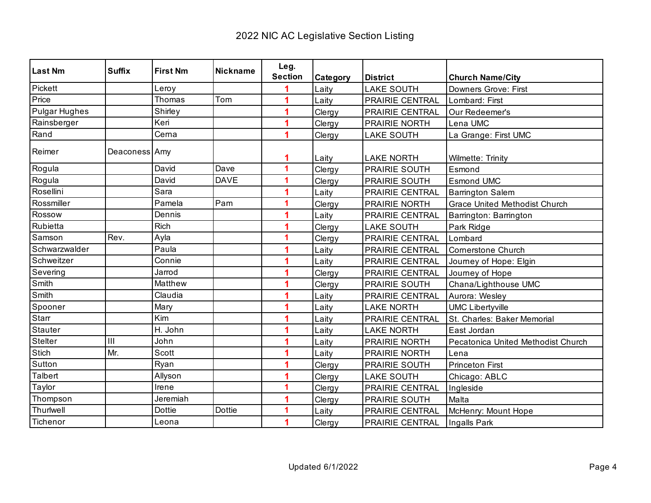| <b>Last Nm</b>       | <b>Suffix</b> | <b>First Nm</b> | <b>Nickname</b> | Leg.           |          |                        |                                      |
|----------------------|---------------|-----------------|-----------------|----------------|----------|------------------------|--------------------------------------|
|                      |               |                 |                 | <b>Section</b> | Category | <b>District</b>        | <b>Church Name/City</b>              |
| Pickett              |               | Leroy           |                 |                | Laity    | <b>LAKE SOUTH</b>      | Downers Grove: First                 |
| Price                |               | Thomas          | Tom             |                | Laity    | PRAIRIE CENTRAL        | Lombard: First                       |
| <b>Pulgar Hughes</b> |               | Shirley         |                 |                | Clergy   | <b>PRAIRIE CENTRAL</b> | Our Redeemer's                       |
| Rainsberger          |               | Keri            |                 | 1              | Clergy   | PRAIRIE NORTH          | Lena UMC                             |
| Rand                 |               | Cerna           |                 |                | Clergy   | <b>LAKE SOUTH</b>      | La Grange: First UMC                 |
| Reimer               | Deaconess Amy |                 |                 |                | Laity    | <b>LAKE NORTH</b>      | Wilmette: Trinity                    |
| Rogula               |               | David           | Dave            | 1              | Clergy   | PRAIRIE SOUTH          | Esmond                               |
| Rogula               |               | David           | <b>DAVE</b>     | 1              | Clergy   | <b>PRAIRIE SOUTH</b>   | <b>Esmond UMC</b>                    |
| Rosellini            |               | Sara            |                 | 1              | Laity    | PRAIRIE CENTRAL        | <b>Barrington Salem</b>              |
| Rossmiller           |               | Pamela          | Pam             | 1              | Clergy   | PRAIRIE NORTH          | <b>Grace United Methodist Church</b> |
| Rossow               |               | Dennis          |                 |                | Laity    | PRAIRIE CENTRAL        | Barrington: Barrington               |
| Rubietta             |               | <b>Rich</b>     |                 |                | Clergy   | <b>LAKE SOUTH</b>      | Park Ridge                           |
| Samson               | Rev.          | Ayla            |                 | 1              | Clergy   | PRAIRIE CENTRAL        | Lombard                              |
| Schwarzwalder        |               | Paula           |                 |                | Laity    | PRAIRIE CENTRAL        | <b>Cornerstone Church</b>            |
| Schweitzer           |               | Connie          |                 |                | Laity    | PRAIRIE CENTRAL        | Journey of Hope: Elgin               |
| Severing             |               | Jarrod          |                 |                | Clergy   | PRAIRIE CENTRAL        | Journey of Hope                      |
| Smith                |               | Matthew         |                 |                | Clergy   | PRAIRIE SOUTH          | Chana/Lighthouse UMC                 |
| Smith                |               | Claudia         |                 |                | Laity    | PRAIRIE CENTRAL        | Aurora: Wesley                       |
| Spooner              |               | Mary            |                 |                | Laity    | <b>LAKE NORTH</b>      | <b>UMC Libertyville</b>              |
| Starr                |               | Kim             |                 |                | Laity    | PRAIRIE CENTRAL        | St. Charles: Baker Memorial          |
| <b>Stauter</b>       |               | H. John         |                 |                | Laity    | <b>LAKE NORTH</b>      | East Jordan                          |
| Stelter              | III           | John            |                 |                | Laity    | PRAIRIE NORTH          | Pecatonica United Methodist Church   |
| <b>Stich</b>         | Mr.           | Scott           |                 | 1              | Laity    | PRAIRIE NORTH          | Lena                                 |
| Sutton               |               | Ryan            |                 |                | Clergy   | PRAIRIE SOUTH          | <b>Princeton First</b>               |
| <b>Talbert</b>       |               | Allyson         |                 |                | Clergy   | <b>LAKE SOUTH</b>      | Chicago: ABLC                        |
| Taylor               |               | Irene           |                 | 1              | Clergy   | PRAIRIE CENTRAL        | Ingleside                            |
| Thompson             |               | Jeremiah        |                 |                | Clergy   | <b>PRAIRIE SOUTH</b>   | Malta                                |
| Thurlwell            |               | <b>Dottie</b>   | <b>Dottie</b>   | 1              | Laity    | PRAIRIE CENTRAL        | McHenry: Mount Hope                  |
| Tichenor             |               | Leona           |                 | 1              | Clergy   | PRAIRIE CENTRAL        | Ingalls Park                         |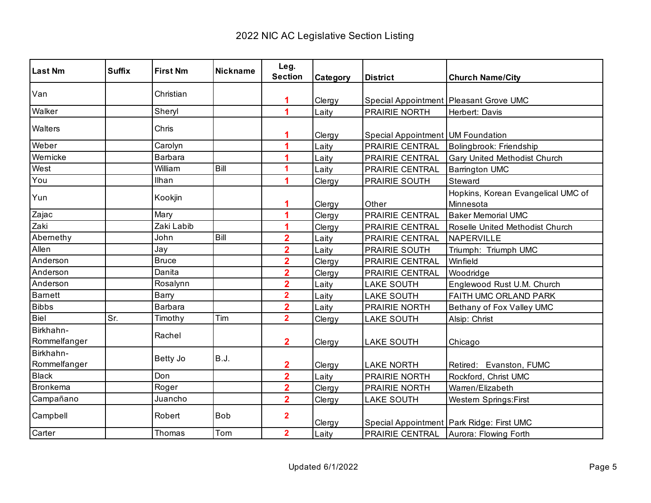| <b>Last Nm</b>            | <b>Suffix</b> | <b>First Nm</b> | <b>Nickname</b> | Leg.                    |          |                                   |                                                 |
|---------------------------|---------------|-----------------|-----------------|-------------------------|----------|-----------------------------------|-------------------------------------------------|
|                           |               |                 |                 | <b>Section</b>          | Category | <b>District</b>                   | <b>Church Name/City</b>                         |
| Van                       |               | Christian       |                 | 1                       | Clergy   |                                   | Special Appointment Pleasant Grove UMC          |
| Walker                    |               | Sheryl          |                 | 1                       | Laity    | PRAIRIE NORTH                     | Herbert: Davis                                  |
| Walters                   |               | Chris           |                 |                         | Clergy   | Special Appointment UM Foundation |                                                 |
| Weber                     |               | Carolyn         |                 | 1                       | Laity    | PRAIRIE CENTRAL                   | Bolingbrook: Friendship                         |
| Wernicke                  |               | Barbara         |                 |                         | Laity    | PRAIRIE CENTRAL                   | Gary United Methodist Church                    |
| West                      |               | William         | Bill            | 1                       | Laity    | PRAIRIE CENTRAL                   | <b>Barrington UMC</b>                           |
| You                       |               | Ilhan           |                 | 1                       | Clergy   | PRAIRIE SOUTH                     | Steward                                         |
| Yun                       |               | Kookjin         |                 | 1                       | Clergy   | Other                             | Hopkins, Korean Evangelical UMC of<br>Minnesota |
| Zajac                     |               | Mary            |                 | 1                       | Clergy   | PRAIRIE CENTRAL                   | <b>Baker Memorial UMC</b>                       |
| Zaki                      |               | Zaki Labib      |                 | 1                       | Clergy   | PRAIRIE CENTRAL                   | Roselle United Methodist Church                 |
| Abernethy                 |               | John            | Bill            | $\overline{\mathbf{2}}$ | Laity    | PRAIRIE CENTRAL                   | NAPERVILLE                                      |
| Allen                     |               | Jay             |                 | $\overline{\mathbf{2}}$ | Laity    | PRAIRIE SOUTH                     | Triumph: Triumph UMC                            |
| Anderson                  |               | <b>Bruce</b>    |                 | $\overline{\mathbf{2}}$ | Clergy   | PRAIRIE CENTRAL                   | Winfield                                        |
| Anderson                  |               | Danita          |                 | $\overline{2}$          | Clergy   | PRAIRIE CENTRAL                   | Woodridge                                       |
| Anderson                  |               | Rosalynn        |                 | $\overline{\mathbf{2}}$ | Laity    | <b>LAKE SOUTH</b>                 | Englewood Rust U.M. Church                      |
| <b>Barnett</b>            |               | Barry           |                 | $\overline{2}$          | Laity    | <b>LAKE SOUTH</b>                 | FAITH UMC ORLAND PARK                           |
| <b>Bibbs</b>              |               | <b>Barbara</b>  |                 | $\overline{2}$          | Laity    | PRAIRIE NORTH                     | Bethany of Fox Valley UMC                       |
| Biel                      | Sr.           | Timothy         | Tim             | $\overline{2}$          | Clergy   | <b>LAKE SOUTH</b>                 | Alsip: Christ                                   |
| Birkhahn-<br>Rommelfanger |               | Rachel          |                 | $\mathbf 2$             | Clergy   | <b>LAKE SOUTH</b>                 | Chicago                                         |
| Birkhahn-<br>Rommelfanger |               | Betty Jo        | <b>B.J.</b>     | 2                       | Clergy   | <b>LAKE NORTH</b>                 | Retired: Evanston, FUMC                         |
| <b>Black</b>              |               | Don             |                 | $\overline{\mathbf{2}}$ | Laity    | PRAIRIE NORTH                     | Rockford, Christ UMC                            |
| <b>Bronkema</b>           |               | Roger           |                 | $\overline{\mathbf{2}}$ | Clergy   | PRAIRIE NORTH                     | Warren/Elizabeth                                |
| Campañano                 |               | Juancho         |                 | $\overline{2}$          | Clergy   | <b>LAKE SOUTH</b>                 | <b>Western Springs:First</b>                    |
| Campbell                  |               | Robert          | <b>Bob</b>      | $\overline{2}$          | Clergy   |                                   | Special Appointment   Park Ridge: First UMC     |
| Carter                    |               | Thomas          | Tom             | $\overline{2}$          | Laity    |                                   | <b>PRAIRIE CENTRAL</b> Aurora: Flowing Forth    |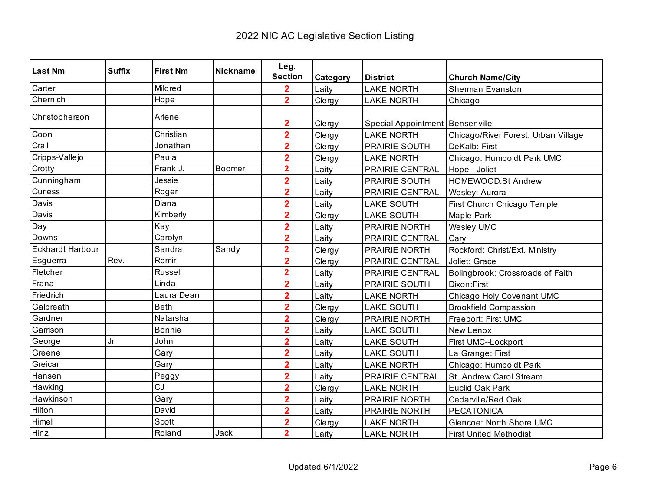| <b>Last Nm</b>          | <b>Suffix</b> | <b>First Nm</b> | <b>Nickname</b> | Leg.                             |          |                                                        |                                     |
|-------------------------|---------------|-----------------|-----------------|----------------------------------|----------|--------------------------------------------------------|-------------------------------------|
|                         |               |                 |                 | <b>Section</b>                   | Category | <b>District</b>                                        | <b>Church Name/City</b>             |
| Carter                  |               | Mildred         |                 | $\overline{\mathbf{2}}$          | Laity    | <b>LAKE NORTH</b>                                      | <b>Sherman Evanston</b>             |
| Chemich                 |               | Hope            |                 | $\overline{2}$                   | Clergy   | <b>LAKE NORTH</b>                                      | Chicago                             |
| Christopherson          |               | Arlene          |                 |                                  |          |                                                        |                                     |
| Coon                    |               | Christian       |                 | 2<br>$\overline{2}$              | Clergy   | Special Appointment   Bensenville<br><b>LAKE NORTH</b> |                                     |
| Crail                   |               | Jonathan        |                 | $\overline{2}$                   | Clergy   |                                                        | Chicago/River Forest: Urban Village |
|                         |               | Paula           |                 |                                  | Clergy   | PRAIRIE SOUTH                                          | DeKalb: First                       |
| Cripps-Vallejo          |               | Frank J.        | Boomer          | $\overline{2}$<br>$\overline{2}$ | Clergy   | <b>LAKE NORTH</b>                                      | Chicago: Humboldt Park UMC          |
| Crotty                  |               |                 |                 |                                  | Laity    | <b>PRAIRIE CENTRAL</b>                                 | Hope - Joliet                       |
| Cunningham              |               | Jessie          |                 | $\overline{2}$                   | Laity    | PRAIRIE SOUTH                                          | HOMEWOOD:St Andrew                  |
| Curless                 |               | Roger           |                 | $\overline{2}$                   | Laity    | PRAIRIE CENTRAL                                        | Wesley: Aurora                      |
| Davis                   |               | Diana           |                 | $\overline{2}$                   | Laity    | <b>LAKE SOUTH</b>                                      | First Church Chicago Temple         |
| Davis                   |               | Kimberly        |                 | $\overline{2}$                   | Clergy   | <b>LAKE SOUTH</b>                                      | Maple Park                          |
| Day                     |               | Kay             |                 | $\overline{2}$                   | Laity    | PRAIRIE NORTH                                          | <b>Wesley UMC</b>                   |
| Downs                   |               | Carolyn         |                 | $\overline{2}$                   | Laity    | PRAIRIE CENTRAL                                        | Cary                                |
| <b>Eckhardt Harbour</b> |               | Sandra          | Sandy           | $\overline{\mathbf{2}}$          | Clergy   | PRAIRIE NORTH                                          | Rockford: Christ/Ext. Ministry      |
| Esguerra                | Rev.          | Romir           |                 | $\overline{2}$                   | Clergy   | PRAIRIE CENTRAL                                        | Joliet: Grace                       |
| Fletcher                |               | Russell         |                 | $\overline{\mathbf{2}}$          | Laity    | PRAIRIE CENTRAL                                        | Bolingbrook: Crossroads of Faith    |
| Frana                   |               | Linda           |                 | $\overline{\mathbf{2}}$          | Laity    | PRAIRIE SOUTH                                          | Dixon: First                        |
| Friedrich               |               | Laura Dean      |                 | $\overline{\mathbf{2}}$          | Laity    | <b>LAKE NORTH</b>                                      | Chicago Holy Covenant UMC           |
| Galbreath               |               | <b>Beth</b>     |                 | $\overline{2}$                   | Clergy   | <b>LAKE SOUTH</b>                                      | <b>Brookfield Compassion</b>        |
| Gardner                 |               | Natarsha        |                 | $\overline{2}$                   | Clergy   | PRAIRIE NORTH                                          | Freeport: First UMC                 |
| Garrison                |               | <b>Bonnie</b>   |                 | $\overline{2}$                   | Laity    | <b>LAKE SOUTH</b>                                      | <b>New Lenox</b>                    |
| George                  | Jr            | John            |                 | $\overline{2}$                   | Laity    | <b>LAKE SOUTH</b>                                      | First UMC--Lockport                 |
| Greene                  |               | Gary            |                 | $\overline{2}$                   | Laity    | <b>LAKE SOUTH</b>                                      | La Grange: First                    |
| Greicar                 |               | Gary            |                 | $\overline{2}$                   | Laity    | <b>LAKE NORTH</b>                                      | Chicago: Humboldt Park              |
| Hansen                  |               | Peggy           |                 | $\overline{2}$                   | Laity    | PRAIRIE CENTRAL                                        | St. Andrew Carol Stream             |
| Hawking                 |               | CJ              |                 | $\overline{\mathbf{2}}$          | Clergy   | <b>LAKE NORTH</b>                                      | Euclid Oak Park                     |
| Hawkinson               |               | Gary            |                 | $\overline{2}$                   | Laity    | PRAIRIE NORTH                                          | Cedarville/Red Oak                  |
| Hilton                  |               | David           |                 | $\overline{2}$                   | Laity    | PRAIRIE NORTH                                          | <b>PECATONICA</b>                   |
| Himel                   |               | Scott           |                 | $\overline{2}$                   | Clergy   | <b>LAKE NORTH</b>                                      | Glencoe: North Shore UMC            |
| Hinz                    |               | Roland          | Jack            | $\overline{2}$                   | Laity    | <b>LAKE NORTH</b>                                      | <b>First United Methodist</b>       |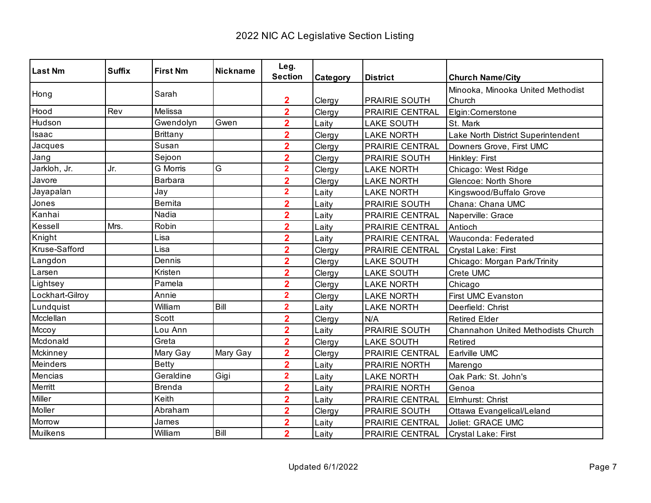| <b>Last Nm</b>  | <b>Suffix</b> | <b>First Nm</b> | <b>Nickname</b> | Leg.                    |          |                      |                                    |
|-----------------|---------------|-----------------|-----------------|-------------------------|----------|----------------------|------------------------------------|
|                 |               |                 |                 | <b>Section</b>          | Category | <b>District</b>      | <b>Church Name/City</b>            |
| Hong            |               | Sarah           |                 |                         |          |                      | Minooka, Minooka United Methodist  |
|                 |               |                 |                 | $\overline{\mathbf{2}}$ | Clergy   | <b>PRAIRIE SOUTH</b> | Church                             |
| Hood            | Rev           | Melissa         |                 | $\overline{2}$          | Clergy   | PRAIRIE CENTRAL      | Elgin:Cornerstone                  |
| Hudson          |               | Gwendolyn       | Gwen            | $\overline{2}$          | Laity    | <b>LAKE SOUTH</b>    | St. Mark                           |
| Isaac           |               | <b>Brittany</b> |                 | $\overline{2}$          | Clergy   | <b>LAKE NORTH</b>    | Lake North District Superintendent |
| Jacques         |               | Susan           |                 | $\overline{2}$          | Clergy   | PRAIRIE CENTRAL      | Downers Grove, First UMC           |
| Jang            |               | Sejoon          |                 | $\overline{2}$          | Clergy   | PRAIRIE SOUTH        | Hinkley: First                     |
| Jarkloh, Jr.    | Jr.           | <b>G</b> Morris | G               | $\overline{2}$          | Clergy   | <b>LAKE NORTH</b>    | Chicago: West Ridge                |
| Javore          |               | Barbara         |                 | $\overline{2}$          | Clergy   | <b>LAKE NORTH</b>    | Glencoe: North Shore               |
| Jayapalan       |               | Jay             |                 | $\overline{\mathbf{2}}$ | Laity    | <b>LAKE NORTH</b>    | Kingswood/Buffalo Grove            |
| Jones           |               | <b>Bernita</b>  |                 | $\overline{\mathbf{2}}$ | Laity    | PRAIRIE SOUTH        | Chana: Chana UMC                   |
| Kanhai          |               | Nadia           |                 | $\overline{\mathbf{2}}$ | Laity    | PRAIRIE CENTRAL      | Naperville: Grace                  |
| Kessell         | Mrs.          | Robin           |                 | $\overline{2}$          | Laity    | PRAIRIE CENTRAL      | Antioch                            |
| Knight          |               | Lisa            |                 | $\overline{2}$          | Laity    | PRAIRIE CENTRAL      | Wauconda: Federated                |
| Kruse-Safford   |               | Lisa            |                 | $\overline{2}$          | Clergy   | PRAIRIE CENTRAL      | Crystal Lake: First                |
| Langdon         |               | Dennis          |                 | $\overline{2}$          | Clergy   | <b>LAKE SOUTH</b>    | Chicago: Morgan Park/Trinity       |
| Larsen          |               | Kristen         |                 | $\overline{2}$          | Clergy   | <b>LAKE SOUTH</b>    | Crete UMC                          |
| Lightsey        |               | Pamela          |                 | $\overline{\mathbf{2}}$ | Clergy   | <b>LAKE NORTH</b>    | Chicago                            |
| Lockhart-Gilroy |               | Annie           |                 | $\overline{\mathbf{2}}$ | Clergy   | <b>LAKE NORTH</b>    | <b>First UMC Evanston</b>          |
| Lundquist       |               | William         | Bill            | $\overline{\mathbf{2}}$ | Laity    | <b>LAKE NORTH</b>    | Deerfield: Christ                  |
| Mcclellan       |               | Scott           |                 | $\overline{2}$          | Clergy   | N/A                  | <b>Retired Elder</b>               |
| Mccoy           |               | Lou Ann         |                 | $\overline{2}$          | Laity    | PRAIRIE SOUTH        | Channahon United Methodists Church |
| Mcdonald        |               | Greta           |                 | $\overline{2}$          | Clergy   | <b>LAKE SOUTH</b>    | Retired                            |
| Mckinney        |               | Mary Gay        | Mary Gay        | $\overline{\mathbf{2}}$ | Clergy   | PRAIRIE CENTRAL      | Earlville UMC                      |
| Meinders        |               | <b>Betty</b>    |                 | $\overline{\mathbf{2}}$ | Laity    | PRAIRIE NORTH        | Marengo                            |
| Mencias         |               | Geraldine       | Gigi            | $\overline{2}$          | Laity    | <b>LAKE NORTH</b>    | Oak Park: St. John's               |
| Merritt         |               | <b>Brenda</b>   |                 | $\overline{\mathbf{2}}$ | Laity    | <b>PRAIRIE NORTH</b> | Genoa                              |
| Miller          |               | Keith           |                 | $\overline{2}$          | Laity    | PRAIRIE CENTRAL      | Elmhurst: Christ                   |
| Moller          |               | Abraham         |                 | $\overline{2}$          | Clergy   | PRAIRIE SOUTH        | Ottawa Evangelical/Leland          |
| Morrow          |               | James           |                 | $\overline{2}$          | Laity    | PRAIRIE CENTRAL      | Joliet: GRACE UMC                  |
| Muilkens        |               | William         | Bill            | $\overline{2}$          | Laity    | PRAIRIE CENTRAL      | Crystal Lake: First                |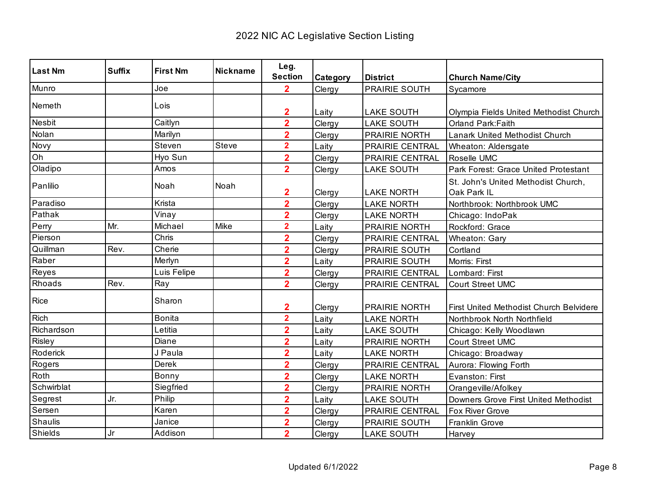| <b>Last Nm</b> | <b>Suffix</b> | <b>First Nm</b> | <b>Nickname</b> | Leg.<br><b>Section</b>  | Category | <b>District</b>        | <b>Church Name/City</b>                            |
|----------------|---------------|-----------------|-----------------|-------------------------|----------|------------------------|----------------------------------------------------|
| Munro          |               | Joe             |                 | $\overline{2}$          | Clergy   | <b>PRAIRIE SOUTH</b>   | Sycamore                                           |
|                |               |                 |                 |                         |          |                        |                                                    |
| Nemeth         |               | Lois            |                 | $\overline{\mathbf{2}}$ | Laity    | <b>LAKE SOUTH</b>      | Olympia Fields United Methodist Church             |
| Nesbit         |               | Caitlyn         |                 | $\overline{\mathbf{2}}$ | Clergy   | <b>LAKE SOUTH</b>      | Orland Park: Faith                                 |
| Nolan          |               | Marilyn         |                 | $\overline{\mathbf{2}}$ | Clergy   | PRAIRIE NORTH          | Lanark United Methodist Church                     |
| Novy           |               | Steven          | Steve           | $\overline{\mathbf{2}}$ | Laity    | PRAIRIE CENTRAL        | Wheaton: Aldersgate                                |
| Oh             |               | Hyo Sun         |                 | $\overline{\mathbf{2}}$ | Clergy   | PRAIRIE CENTRAL        | Roselle UMC                                        |
| Oladipo        |               | Amos            |                 | $\overline{2}$          | Clergy   | <b>LAKE SOUTH</b>      | Park Forest: Grace United Protestant               |
| Panlilio       |               | Noah            | Noah            | 2                       | Clergy   | <b>LAKE NORTH</b>      | St. John's United Methodist Church,<br>Oak Park IL |
| Paradiso       |               | Krista          |                 | $\overline{2}$          | Clergy   | <b>LAKE NORTH</b>      | Northbrook: Northbrook UMC                         |
| Pathak         |               | Vinay           |                 | $\overline{\mathbf{2}}$ | Clergy   | <b>LAKE NORTH</b>      | Chicago: IndoPak                                   |
| Perry          | Mr.           | Michael         | Mike            | $\overline{\mathbf{2}}$ | Laity    | PRAIRIE NORTH          | Rockford: Grace                                    |
| Pierson        |               | Chris           |                 | $\overline{\mathbf{2}}$ | Clergy   | PRAIRIE CENTRAL        | Wheaton: Gary                                      |
| Quillman       | Rev.          | Cherie          |                 | $\overline{\mathbf{2}}$ | Clergy   | PRAIRIE SOUTH          | Cortland                                           |
| Raber          |               | Merlyn          |                 | $\overline{\mathbf{2}}$ | Laity    | PRAIRIE SOUTH          | Morris: First                                      |
| Reyes          |               | Luis Felipe     |                 | $\overline{\mathbf{2}}$ | Clergy   | <b>PRAIRIE CENTRAL</b> | Lombard: First                                     |
| Rhoads         | Rev.          | Ray             |                 | $\overline{2}$          | Clergy   | PRAIRIE CENTRAL        | <b>Court Street UMC</b>                            |
| Rice           |               | Sharon          |                 | $\mathbf{2}$            | Clergy   | <b>PRAIRIE NORTH</b>   | First United Methodist Church Belvidere            |
| <b>Rich</b>    |               | <b>Bonita</b>   |                 | $\overline{2}$          | Laity    | <b>LAKE NORTH</b>      | Northbrook North Northfield                        |
| Richardson     |               | Letitia         |                 | $\overline{\mathbf{2}}$ | Laity    | <b>LAKE SOUTH</b>      | Chicago: Kelly Woodlawn                            |
| Risley         |               | Diane           |                 | $\overline{\mathbf{2}}$ | Laity    | <b>PRAIRIE NORTH</b>   | <b>Court Street UMC</b>                            |
| Roderick       |               | J Paula         |                 | $\overline{\mathbf{2}}$ | Laity    | <b>LAKE NORTH</b>      | Chicago: Broadway                                  |
| Rogers         |               | Derek           |                 | $\overline{\mathbf{2}}$ | Clergy   | PRAIRIE CENTRAL        | Aurora: Flowing Forth                              |
| Roth           |               | Bonny           |                 | $\overline{\mathbf{2}}$ | Clergy   | <b>LAKE NORTH</b>      | Evanston: First                                    |
| Schwirblat     |               | Siegfried       |                 | $\overline{\mathbf{2}}$ | Clergy   | PRAIRIE NORTH          | Orangeville/Afolkey                                |
| Segrest        | Jr.           | Philip          |                 | $\overline{\mathbf{2}}$ | Laity    | <b>LAKE SOUTH</b>      | Downers Grove First United Methodist               |
| Sersen         |               | Karen           |                 | $\overline{2}$          | Clergy   | PRAIRIE CENTRAL        | Fox River Grove                                    |
| Shaulis        |               | Janice          |                 | $\overline{2}$          | Clergy   | PRAIRIE SOUTH          | Franklin Grove                                     |
| <b>Shields</b> | Jr            | Addison         |                 | $\overline{2}$          | Clergy   | <b>LAKE SOUTH</b>      | Harvey                                             |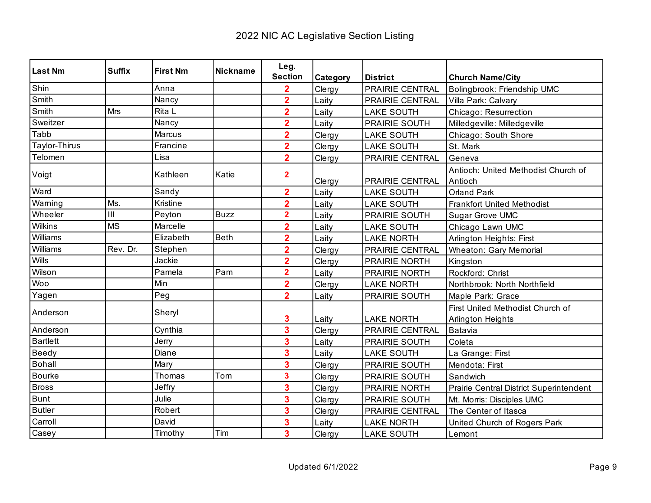| <b>Last Nm</b>  | <b>Suffix</b> | <b>First Nm</b> | <b>Nickname</b> | Leg.                    |          |                        |                                                       |
|-----------------|---------------|-----------------|-----------------|-------------------------|----------|------------------------|-------------------------------------------------------|
|                 |               |                 |                 | <b>Section</b>          | Category | <b>District</b>        | <b>Church Name/City</b>                               |
| Shin            |               | Anna            |                 | $\overline{\mathbf{2}}$ | Clergy   | <b>PRAIRIE CENTRAL</b> | Bolingbrook: Friendship UMC                           |
| Smith           |               | Nancy           |                 | $\overline{2}$          | Laity    | PRAIRIE CENTRAL        | Villa Park: Calvary                                   |
| Smith           | Mrs           | Rita L          |                 | $\overline{2}$          | Laity    | <b>LAKE SOUTH</b>      | Chicago: Resurrection                                 |
| Sweitzer        |               | Nancy           |                 | $\overline{2}$          | Laity    | PRAIRIE SOUTH          | Milledgeville: Milledgeville                          |
| Tabb            |               | Marcus          |                 | $\overline{\mathbf{2}}$ | Clergy   | <b>LAKE SOUTH</b>      | Chicago: South Shore                                  |
| Taylor-Thirus   |               | Francine        |                 | $\overline{\mathbf{2}}$ | Clergy   | <b>LAKE SOUTH</b>      | St. Mark                                              |
| Telomen         |               | Lisa            |                 | $\overline{2}$          | Clergy   | PRAIRIE CENTRAL        | Geneva                                                |
| Voigt           |               | Kathleen        | Katie           | $\overline{\mathbf{2}}$ | Clergy   | <b>PRAIRIE CENTRAL</b> | Antioch: United Methodist Church of<br>Antioch        |
| Ward            |               | Sandy           |                 | $\overline{\mathbf{2}}$ | Laity    | <b>LAKE SOUTH</b>      | <b>Orland Park</b>                                    |
| Warning         | Ms.           | Kristine        |                 | $\overline{\mathbf{2}}$ | Laity    | <b>LAKE SOUTH</b>      | <b>Frankfort United Methodist</b>                     |
| Wheeler         | III           | Peyton          | <b>Buzz</b>     | $\overline{\mathbf{2}}$ | Laity    | PRAIRIE SOUTH          | Sugar Grove UMC                                       |
| Wilkins         | <b>MS</b>     | Marcelle        |                 | $\overline{2}$          | Laity    | <b>LAKE SOUTH</b>      | Chicago Lawn UMC                                      |
| Williams        |               | Elizabeth       | <b>Beth</b>     | $\overline{\mathbf{2}}$ | Laity    | <b>LAKE NORTH</b>      | Arlington Heights: First                              |
| Williams        | Rev. Dr.      | Stephen         |                 | $\overline{\mathbf{2}}$ | Clergy   | PRAIRIE CENTRAL        | <b>Wheaton: Gary Memorial</b>                         |
| Wills           |               | Jackie          |                 | $\overline{\mathbf{2}}$ | Clergy   | PRAIRIE NORTH          | Kingston                                              |
| Wilson          |               | Pamela          | Pam             | $\overline{\mathbf{2}}$ | Laity    | PRAIRIE NORTH          | Rockford: Christ                                      |
| Woo             |               | Min             |                 | $\overline{2}$          | Clergy   | <b>LAKE NORTH</b>      | Northbrook: North Northfield                          |
| Yagen           |               | Peg             |                 | $\overline{2}$          | Laity    | PRAIRIE SOUTH          | Maple Park: Grace                                     |
| Anderson        |               | Sheryl          |                 | 3                       | Laity    | <b>LAKE NORTH</b>      | First United Methodist Church of<br>Arlington Heights |
| Anderson        |               | Cynthia         |                 | 3                       | Clergy   | PRAIRIE CENTRAL        | Batavia                                               |
| <b>Bartlett</b> |               | Jerry           |                 | 3                       | Laity    | <b>PRAIRIE SOUTH</b>   | Coleta                                                |
| Beedy           |               | Diane           |                 | 3                       | Laity    | <b>LAKE SOUTH</b>      | La Grange: First                                      |
| <b>Bohall</b>   |               | Mary            |                 | 3                       | Clergy   | PRAIRIE SOUTH          | Mendota: First                                        |
| <b>Bourke</b>   |               | Thomas          | Tom             | 3                       | Clergy   | PRAIRIE SOUTH          | Sandwich                                              |
| <b>Bross</b>    |               | Jeffry          |                 | 3                       | Clergy   | <b>PRAIRIE NORTH</b>   | Prairie Central District Superintendent               |
| Bunt            |               | Julie           |                 | 3                       | Clergy   | PRAIRIE SOUTH          | Mt. Morris: Disciples UMC                             |
| <b>Butler</b>   |               | Robert          |                 | 3                       | Clergy   | PRAIRIE CENTRAL        | The Center of Itasca                                  |
| Carroll         |               | David           |                 | 3                       | Laity    | <b>LAKE NORTH</b>      | United Church of Rogers Park                          |
| Casey           |               | Timothy         | Tim             | 3                       | Clergy   | <b>LAKE SOUTH</b>      | Lemont                                                |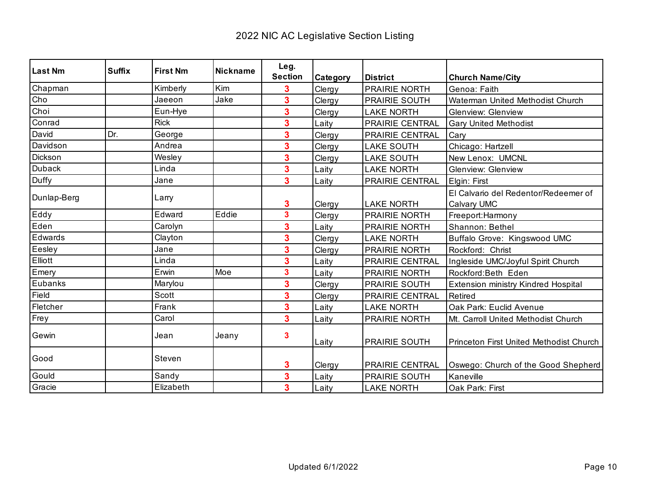| Last Nm     | <b>Suffix</b> | <b>First Nm</b> | Nickname | Leg.                    |          |                        |                                            |
|-------------|---------------|-----------------|----------|-------------------------|----------|------------------------|--------------------------------------------|
|             |               |                 |          | <b>Section</b>          | Category | <b>District</b>        | <b>Church Name/City</b>                    |
| Chapman     |               | Kimberly        | Kim      | 3                       | Clergy   | <b>PRAIRIE NORTH</b>   | Genoa: Faith                               |
| Cho         |               | Jaeeon          | Jake     | 3                       | Clergy   | <b>PRAIRIE SOUTH</b>   | Waterman United Methodist Church           |
| Choi        |               | Eun-Hye         |          | 3                       | Clergy   | <b>LAKE NORTH</b>      | <b>Glenview: Glenview</b>                  |
| Conrad      |               | <b>Rick</b>     |          | 3                       | Laity    | PRAIRIE CENTRAL        | <b>Gary United Methodist</b>               |
| David       | Dr.           | George          |          | 3                       | Clergy   | PRAIRIE CENTRAL        | Cary                                       |
| Davidson    |               | Andrea          |          | 3                       | Clergy   | <b>LAKE SOUTH</b>      | Chicago: Hartzell                          |
| Dickson     |               | Wesley          |          | 3                       | Clergy   | <b>LAKE SOUTH</b>      | New Lenox: UMCNL                           |
| Duback      |               | Linda           |          | 3                       | Laity    | <b>LAKE NORTH</b>      | <b>Glenview: Glenview</b>                  |
| Duffy       |               | Jane            |          | 3                       | Laity    | PRAIRIE CENTRAL        | Elgin: First                               |
| Dunlap-Berg |               | Larry           |          |                         |          |                        | El Calvario del Redentor/Redeemer of       |
|             |               |                 |          | 3                       | Clergy   | <b>LAKE NORTH</b>      | Calvary UMC                                |
| Eddy        |               | Edward          | Eddie    | $\overline{\mathbf{3}}$ | Clergy   | <b>PRAIRIE NORTH</b>   | Freeport:Harmony                           |
| Eden        |               | Carolyn         |          | 3                       | Laity    | PRAIRIE NORTH          | Shannon: Bethel                            |
| Edwards     |               | Clayton         |          | 3                       | Clergy   | <b>LAKE NORTH</b>      | Buffalo Grove: Kingswood UMC               |
| Eesley      |               | Jane            |          | 3                       | Clergy   | PRAIRIE NORTH          | Rockford: Christ                           |
| Elliott     |               | Linda           |          | 3                       | Laity    | <b>PRAIRIE CENTRAL</b> | Ingleside UMC/Joyful Spirit Church         |
| Emery       |               | Erwin           | Moe      | 3                       | Laity    | <b>PRAIRIE NORTH</b>   | Rockford:Beth Eden                         |
| Eubanks     |               | Marylou         |          | 3                       | Clergy   | <b>PRAIRIE SOUTH</b>   | <b>Extension ministry Kindred Hospital</b> |
| Field       |               | Scott           |          | 3                       | Clergy   | PRAIRIE CENTRAL        | Retired                                    |
| Fletcher    |               | Frank           |          | 3                       | Laity    | <b>LAKE NORTH</b>      | Oak Park: Euclid Avenue                    |
| Frey        |               | Carol           |          | 3                       | Laity    | PRAIRIE NORTH          | Mt. Carroll United Methodist Church        |
| Gewin       |               | Jean            | Jeany    | 3                       | Laity    | <b>PRAIRIE SOUTH</b>   | Princeton First United Methodist Church    |
| Good        |               | Steven          |          | 3                       | Clergy   | <b>PRAIRIE CENTRAL</b> | Oswego: Church of the Good Shepherd        |
| Gould       |               | Sandy           |          | 3                       | Laity    | PRAIRIE SOUTH          | Kaneville                                  |
| Gracie      |               | Elizabeth       |          | 3                       | Laity    | <b>LAKE NORTH</b>      | Oak Park: First                            |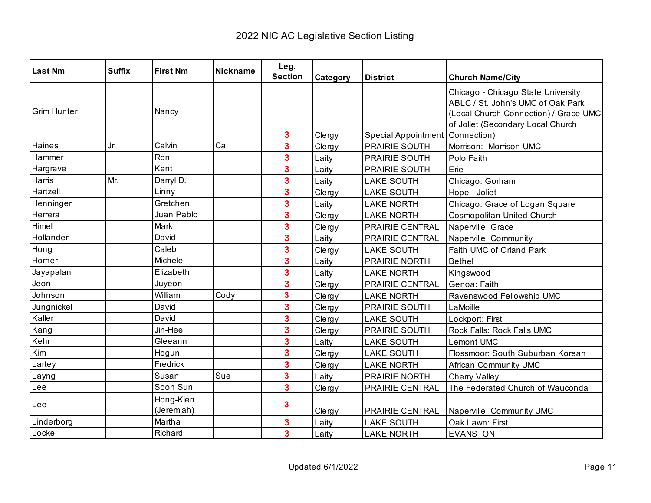| <b>Last Nm</b>     | <b>Suffix</b> | <b>First Nm</b>         | <b>Nickname</b> | Leg.                    |          |                                          |                                                                                                                                                       |
|--------------------|---------------|-------------------------|-----------------|-------------------------|----------|------------------------------------------|-------------------------------------------------------------------------------------------------------------------------------------------------------|
|                    |               |                         |                 | <b>Section</b>          | Category | <b>District</b>                          | <b>Church Name/City</b>                                                                                                                               |
| <b>Grim Hunter</b> |               | Nancy                   |                 | 3                       | Clergy   | <b>Special Appointment   Connection)</b> | Chicago - Chicago State University<br>ABLC / St. John's UMC of Oak Park<br>(Local Church Connection) / Grace UMC<br>of Joliet (Secondary Local Church |
| Haines             | Jr            | Calvin                  | Cal             | $\overline{\mathbf{3}}$ | Clergy   | PRAIRIE SOUTH                            | Morrison: Morrison UMC                                                                                                                                |
| Hammer             |               | Ron                     |                 | 3                       | Laity    | PRAIRIE SOUTH                            | Polo Faith                                                                                                                                            |
| Hargrave           |               | Kent                    |                 | $\overline{\mathbf{3}}$ | Laity    | PRAIRIE SOUTH                            | Erie                                                                                                                                                  |
| Harris             | Mr.           | Darryl D.               |                 | 3                       | Laity    | <b>LAKE SOUTH</b>                        | Chicago: Gorham                                                                                                                                       |
| Hartzell           |               | Linny                   |                 | $\overline{\mathbf{3}}$ | Clergy   | <b>LAKE SOUTH</b>                        | Hope - Joliet                                                                                                                                         |
| Henninger          |               | Gretchen                |                 | $\overline{\mathbf{3}}$ | Laity    | <b>LAKE NORTH</b>                        | Chicago: Grace of Logan Square                                                                                                                        |
| Herrera            |               | Juan Pablo              |                 | $\overline{\mathbf{3}}$ | Clergy   | <b>LAKE NORTH</b>                        | <b>Cosmopolitan United Church</b>                                                                                                                     |
| Himel              |               | Mark                    |                 | 3                       | Clergy   | PRAIRIE CENTRAL                          | Naperville: Grace                                                                                                                                     |
| Hollander          |               | David                   |                 | $\overline{\mathbf{3}}$ | Laity    | PRAIRIE CENTRAL                          | Naperville: Community                                                                                                                                 |
| Hong               |               | Caleb                   |                 | $\overline{\mathbf{3}}$ | Clergy   | <b>LAKE SOUTH</b>                        | Faith UMC of Orland Park                                                                                                                              |
| Horner             |               | Michele                 |                 | $\overline{\mathbf{3}}$ | Laity    | PRAIRIE NORTH                            | <b>Bethel</b>                                                                                                                                         |
| Jayapalan          |               | Elizabeth               |                 | 3                       | Laity    | <b>LAKE NORTH</b>                        | Kingswood                                                                                                                                             |
| Jeon               |               | Juyeon                  |                 | $\overline{\mathbf{3}}$ | Clergy   | PRAIRIE CENTRAL                          | Genoa: Faith                                                                                                                                          |
| Johnson            |               | William                 | Cody            | $\overline{\mathbf{3}}$ | Clergy   | <b>LAKE NORTH</b>                        | Ravenswood Fellowship UMC                                                                                                                             |
| Jungnickel         |               | David                   |                 | $\overline{\mathbf{3}}$ | Clergy   | PRAIRIE SOUTH                            | LaMoille                                                                                                                                              |
| Kaller             |               | David                   |                 | 3                       | Clergy   | <b>LAKE SOUTH</b>                        | Lockport: First                                                                                                                                       |
| Kang               |               | Jin-Hee                 |                 | $\overline{\mathbf{3}}$ | Clergy   | PRAIRIE SOUTH                            | Rock Falls: Rock Falls UMC                                                                                                                            |
| Kehr               |               | Gleeann                 |                 | $\overline{\mathbf{3}}$ | Laity    | <b>LAKE SOUTH</b>                        | Lemont UMC                                                                                                                                            |
| Kim                |               | Hogun                   |                 | $\overline{\mathbf{3}}$ | Clergy   | <b>LAKE SOUTH</b>                        | Flossmoor: South Suburban Korean                                                                                                                      |
| Lartey             |               | Fredrick                |                 | $\overline{\mathbf{3}}$ | Clergy   | <b>LAKE NORTH</b>                        | <b>African Community UMC</b>                                                                                                                          |
| Layng              |               | Susan                   | Sue             | $\overline{\mathbf{3}}$ | Laity    | PRAIRIE NORTH                            | <b>Cherry Valley</b>                                                                                                                                  |
| Lee                |               | Soon Sun                |                 | $\overline{\mathbf{3}}$ | Clergy   | PRAIRIE CENTRAL                          | The Federated Church of Wauconda                                                                                                                      |
| l Lee              |               | Hong-Kien<br>(Jeremiah) |                 | 3                       | Clergy   | PRAIRIE CENTRAL                          | Naperville: Community UMC                                                                                                                             |
| Linderborg         |               | Martha                  |                 | 3                       | Laity    | <b>LAKE SOUTH</b>                        | Oak Lawn: First                                                                                                                                       |
| Locke              |               | Richard                 |                 | $\overline{\mathbf{3}}$ | Laity    | <b>LAKE NORTH</b>                        | <b>EVANSTON</b>                                                                                                                                       |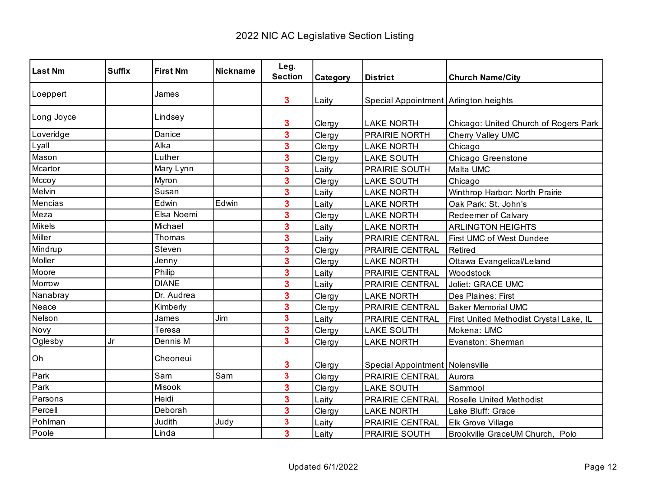| <b>Last Nm</b> | <b>Suffix</b> | <b>First Nm</b> | <b>Nickname</b> | Leg.                    |          |                                       |                                         |
|----------------|---------------|-----------------|-----------------|-------------------------|----------|---------------------------------------|-----------------------------------------|
|                |               |                 |                 | <b>Section</b>          | Category | <b>District</b>                       | <b>Church Name/City</b>                 |
| Loeppert       |               | James           |                 | 3                       | Laity    | Special Appointment Arlington heights |                                         |
| Long Joyce     |               | Lindsey         |                 | 3                       | Clergy   | <b>LAKE NORTH</b>                     | Chicago: United Church of Rogers Park   |
| Loveridge      |               | Danice          |                 | 3                       | Clergy   | PRAIRIE NORTH                         | Cherry Valley UMC                       |
| Lyall          |               | Alka            |                 | 3                       | Clergy   | <b>LAKE NORTH</b>                     | Chicago                                 |
| Mason          |               | Luther          |                 | 3                       | Clergy   | <b>LAKE SOUTH</b>                     | Chicago Greenstone                      |
| Mcartor        |               | Mary Lynn       |                 | 3                       | Laity    | PRAIRIE SOUTH                         | Malta UMC                               |
| Mccoy          |               | Myron           |                 | 3                       | Clergy   | <b>LAKE SOUTH</b>                     | Chicago                                 |
| Melvin         |               | Susan           |                 | 3                       | Laity    | <b>LAKE NORTH</b>                     | Winthrop Harbor: North Prairie          |
| Mencias        |               | Edwin           | Edwin           | 3                       | Laity    | <b>LAKE NORTH</b>                     | Oak Park: St. John's                    |
| Meza           |               | Elsa Noemi      |                 | 3                       | Clergy   | <b>LAKE NORTH</b>                     | Redeemer of Calvary                     |
| <b>Mikels</b>  |               | Michael         |                 | 3                       | Laity    | <b>LAKE NORTH</b>                     | <b>ARLINGTON HEIGHTS</b>                |
| Miller         |               | Thomas          |                 | 3                       | Laity    | PRAIRIE CENTRAL                       | First UMC of West Dundee                |
| Mindrup        |               | Steven          |                 | 3                       | Clergy   | PRAIRIE CENTRAL                       | Retired                                 |
| Moller         |               | Jenny           |                 | 3                       | Clergy   | <b>LAKE NORTH</b>                     | Ottawa Evangelical/Leland               |
| Moore          |               | Philip          |                 | 3                       | Laity    | PRAIRIE CENTRAL                       | Woodstock                               |
| Morrow         |               | <b>DIANE</b>    |                 | 3                       | Laity    | PRAIRIE CENTRAL                       | Joliet: GRACE UMC                       |
| Nanabray       |               | Dr. Audrea      |                 | 3                       | Clergy   | <b>LAKE NORTH</b>                     | Des Plaines: First                      |
| Neace          |               | Kimberly        |                 | 3                       | Clergy   | PRAIRIE CENTRAL                       | <b>Baker Memorial UMC</b>               |
| Nelson         |               | James           | Jim             | 3                       | Laity    | PRAIRIE CENTRAL                       | First United Methodist Crystal Lake, IL |
| Novy           |               | Teresa          |                 | 3                       | Clergy   | <b>LAKE SOUTH</b>                     | Mokena: UMC                             |
| Oglesby        | Jr            | Dennis M        |                 | 3                       | Clergy   | <b>LAKE NORTH</b>                     | Evanston: Sherman                       |
| Oh             |               | Cheoneui        |                 | 3                       | Clergy   | Special Appointment Nolensville       |                                         |
| Park           |               | Sam             | Sam             | $\overline{\mathbf{3}}$ | Clergy   | PRAIRIE CENTRAL                       | Aurora                                  |
| Park           |               | Misook          |                 | 3                       | Clergy   | <b>LAKE SOUTH</b>                     | Sammool                                 |
| Parsons        |               | Heidi           |                 | 3                       | Laity    | PRAIRIE CENTRAL                       | Roselle United Methodist                |
| Percell        |               | Deborah         |                 | 3                       | Clergy   | <b>LAKE NORTH</b>                     | Lake Bluff: Grace                       |
| Pohlman        |               | Judith          | Judy            | 3                       | Laity    | PRAIRIE CENTRAL                       | Elk Grove Village                       |
| Poole          |               | Linda           |                 | $\overline{\mathbf{3}}$ | Laity    | PRAIRIE SOUTH                         | Brookville GraceUM Church, Polo         |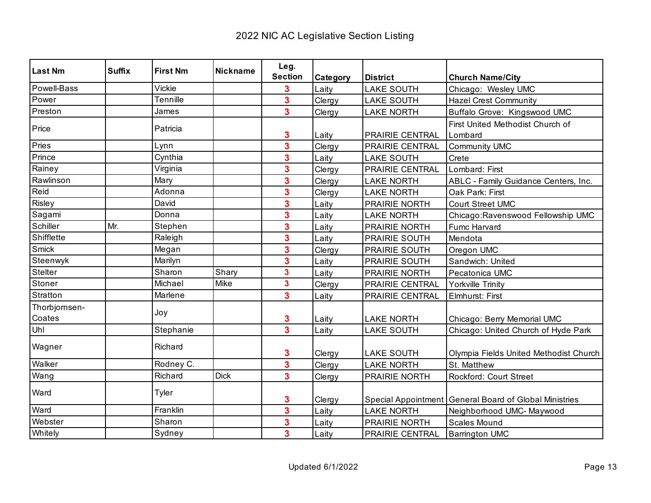| <b>Last Nm</b>          | <b>Suffix</b> | <b>First Nm</b> | Nickname    | Leg.                    |          |                        |                                                          |
|-------------------------|---------------|-----------------|-------------|-------------------------|----------|------------------------|----------------------------------------------------------|
|                         |               |                 |             | <b>Section</b>          | Category | <b>District</b>        | <b>Church Name/City</b>                                  |
| Powell-Bass             |               | Vickie          |             | 3                       | Laity    | <b>LAKE SOUTH</b>      | Chicago: Wesley UMC                                      |
| Power                   |               | Tennille        |             | $\overline{\mathbf{3}}$ | Clergy   | <b>LAKE SOUTH</b>      | <b>Hazel Crest Community</b>                             |
| Preston                 |               | James           |             | $\overline{\mathbf{3}}$ | Clergy   | <b>LAKE NORTH</b>      | Buffalo Grove: Kingswood UMC                             |
| Price                   |               | Patricia        |             | 3                       | Laity    | PRAIRIE CENTRAL        | First United Methodist Church of<br>Lombard              |
| Pries                   |               | Lynn            |             | $\overline{\mathbf{3}}$ | Clergy   | <b>PRAIRIE CENTRAL</b> | Community UMC                                            |
| Prince                  |               | Cynthia         |             | 3                       | Laity    | <b>LAKE SOUTH</b>      | Crete                                                    |
| Rainey                  |               | Virginia        |             | 3                       | Clergy   | PRAIRIE CENTRAL        | Lombard: First                                           |
| Rawlinson               |               | Mary            |             | 3                       | Clergy   | <b>LAKE NORTH</b>      | ABLC - Family Guidance Centers, Inc.                     |
| Reid                    |               | Adonna          |             | $\overline{\mathbf{3}}$ | Clergy   | <b>LAKE NORTH</b>      | Oak Park: First                                          |
| Risley                  |               | David           |             | 3                       | Laity    | PRAIRIE NORTH          | <b>Court Street UMC</b>                                  |
| Sagami                  |               | Donna           |             | 3                       | Laity    | <b>LAKE NORTH</b>      | Chicago: Ravenswood Fellowship UMC                       |
| Schiller                | Mr.           | Stephen         |             | 3                       | Laity    | PRAIRIE NORTH          | Fumc Harvard                                             |
| Shifflette              |               | Raleigh         |             | 3                       | Laity    | PRAIRIE SOUTH          | Mendota                                                  |
| Smick                   |               | Megan           |             | $\overline{\mathbf{3}}$ | Clergy   | <b>PRAIRIE SOUTH</b>   | Oregon UMC                                               |
| Steenwyk                |               | Marilyn         |             | 3                       | Laity    | PRAIRIE SOUTH          | Sandwich: United                                         |
| Stelter                 |               | Sharon          | Shary       | 3                       | Laity    | <b>PRAIRIE NORTH</b>   | Pecatonica UMC                                           |
| Stoner                  |               | Michael         | Mike        | $\overline{\mathbf{3}}$ | Clergy   | PRAIRIE CENTRAL        | Yorkville Trinity                                        |
| Stratton                |               | Marlene         |             | 3                       | Laity    | PRAIRIE CENTRAL        | Elmhurst: First                                          |
| Thorbjornsen-<br>Coates |               | Joy             |             | 3                       | Laity    | <b>LAKE NORTH</b>      | Chicago: Berry Memorial UMC                              |
| Uhl                     |               | Stephanie       |             | $\overline{\mathbf{3}}$ | Laity    | <b>LAKE SOUTH</b>      | Chicago: United Church of Hyde Park                      |
| Wagner                  |               | Richard         |             | 3                       | Clergy   | <b>LAKE SOUTH</b>      | Olympia Fields United Methodist Church                   |
| Walker                  |               | Rodney C.       |             | 3                       | Clergy   | <b>LAKE NORTH</b>      | St. Matthew                                              |
| Wang                    |               | Richard         | <b>Dick</b> | $\overline{\mathbf{3}}$ | Clergy   | PRAIRIE NORTH          | <b>Rockford: Court Street</b>                            |
| Ward                    |               | Tyler           |             | 3                       | Clergy   |                        | Special Appointment   General Board of Global Ministries |
| Ward                    |               | Franklin        |             | $\overline{\mathbf{3}}$ | Laity    | <b>LAKE NORTH</b>      | Neighborhood UMC- Maywood                                |
| Webster                 |               | Sharon          |             | 3                       | Laity    | PRAIRIE NORTH          | Scales Mound                                             |
| Whitely                 |               | Sydney          |             | $\overline{\mathbf{3}}$ | Laity    | PRAIRIE CENTRAL        | <b>Barrington UMC</b>                                    |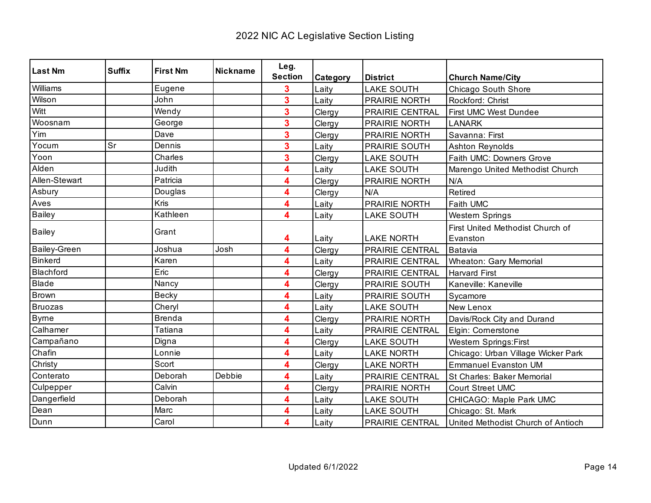| <b>Last Nm</b>      | <b>Suffix</b> | <b>First Nm</b> | <b>Nickname</b> | Leg.           |                   |                        |                                    |
|---------------------|---------------|-----------------|-----------------|----------------|-------------------|------------------------|------------------------------------|
|                     |               |                 |                 | <b>Section</b> | Category          | <b>District</b>        | <b>Church Name/City</b>            |
| Williams            |               | Eugene          |                 | 3              | Laity             | <b>LAKE SOUTH</b>      | Chicago South Shore                |
| Wilson              |               | John            |                 | 3              | Laity             | PRAIRIE NORTH          | Rockford: Christ                   |
| Witt                |               | Wendy           |                 | 3              | Clergy            | <b>PRAIRIE CENTRAL</b> | <b>First UMC West Dundee</b>       |
| Woosnam             |               | George          |                 | 3              | Clergy            | PRAIRIE NORTH          | <b>LANARK</b>                      |
| Yim                 |               | Dave            |                 | 3              | Clergy            | PRAIRIE NORTH          | Savanna: First                     |
| Yocum               | Sr            | Dennis          |                 | 3              | Laity             | <b>PRAIRIE SOUTH</b>   | <b>Ashton Reynolds</b>             |
| Yoon                |               | Charles         |                 | 3              | Clergy            | <b>LAKE SOUTH</b>      | Faith UMC: Downers Grove           |
| Alden               |               | Judith          |                 | 4              | Laity             | <b>LAKE SOUTH</b>      | Marengo United Methodist Church    |
| Allen-Stewart       |               | Patricia        |                 | 4              | Clergy            | PRAIRIE NORTH          | N/A                                |
| Asbury              |               | Douglas         |                 | 4              | Clergy            | N/A                    | Retired                            |
| Aves                |               | Kris            |                 | 4              | Laity             | PRAIRIE NORTH          | Faith UMC                          |
| <b>Bailey</b>       |               | Kathleen        |                 | 4              | Laity             | <b>LAKE SOUTH</b>      | Western Springs                    |
|                     |               | Grant           |                 |                |                   |                        | First United Methodist Church of   |
| <b>Bailey</b>       |               |                 | 4               | Laity          | <b>LAKE NORTH</b> | Evanston               |                                    |
| <b>Bailey-Green</b> |               | Joshua          | Josh            | 4              | Clergy            | PRAIRIE CENTRAL        | Batavia                            |
| <b>Binkerd</b>      |               | Karen           |                 | 4              | Laity             | <b>PRAIRIE CENTRAL</b> | <b>Wheaton: Gary Memorial</b>      |
| Blachford           |               | Eric            |                 | 4              | Clergy            | <b>PRAIRIE CENTRAL</b> | <b>Harvard First</b>               |
| Blade               |               | Nancy           |                 | 4              | Clergy            | PRAIRIE SOUTH          | Kaneville: Kaneville               |
| Brown               |               | <b>Becky</b>    |                 | 4              | Laity             | PRAIRIE SOUTH          | Sycamore                           |
| <b>Bruozas</b>      |               | Cheryl          |                 | 4              | Laity             | <b>LAKE SOUTH</b>      | New Lenox                          |
| <b>Byrne</b>        |               | <b>Brenda</b>   |                 | 4              | Clergy            | PRAIRIE NORTH          | Davis/Rock City and Durand         |
| Calhamer            |               | Tatiana         |                 | 4              | Laity             | PRAIRIE CENTRAL        | Elgin: Cornerstone                 |
| Campañano           |               | Digna           |                 | 4              | Clergy            | <b>LAKE SOUTH</b>      | <b>Western Springs:First</b>       |
| Chafin              |               | Lonnie          |                 | 4              | Laity             | <b>LAKE NORTH</b>      | Chicago: Urban Village Wicker Park |
| Christy             |               | Scort           |                 | 4              | Clergy            | <b>LAKE NORTH</b>      | <b>Emmanuel Evanston UM</b>        |
| Conterato           |               | Deborah         | Debbie          | 4              | Laity             | PRAIRIE CENTRAL        | St Charles: Baker Memorial         |
| Culpepper           |               | Calvin          |                 | 4              | Clergy            | PRAIRIE NORTH          | Court Street UMC                   |
| Dangerfield         |               | Deborah         |                 | 4              | Laity             | <b>LAKE SOUTH</b>      | CHICAGO: Maple Park UMC            |
| Dean                |               | Marc            |                 | 4              | Laity             | <b>LAKE SOUTH</b>      | Chicago: St. Mark                  |
| Dunn                |               | Carol           |                 | 4              | Laity             | PRAIRIE CENTRAL        | United Methodist Church of Antioch |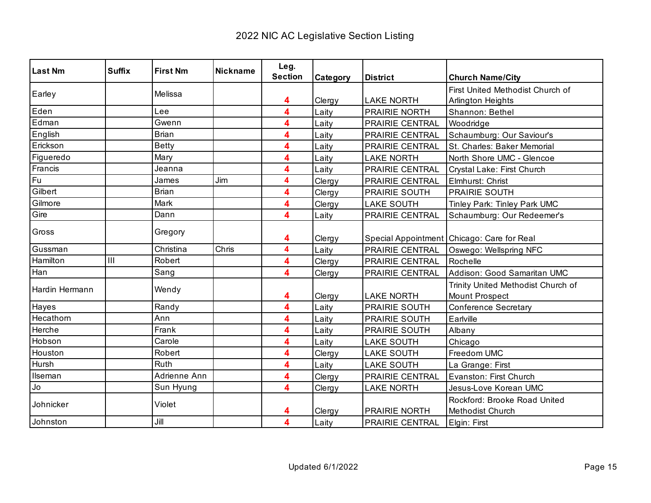| <b>Last Nm</b> | <b>Suffix</b> | <b>First Nm</b> | <b>Nickname</b> | Leg.           |          |                   |                                                      |
|----------------|---------------|-----------------|-----------------|----------------|----------|-------------------|------------------------------------------------------|
|                |               |                 |                 | <b>Section</b> | Category | <b>District</b>   | <b>Church Name/City</b>                              |
| Earley         |               | Melissa         |                 |                |          |                   | First United Methodist Church of                     |
|                |               |                 |                 | 4              | Clergy   | <b>LAKE NORTH</b> | Arlington Heights                                    |
| Eden           |               | Lee             |                 | 4              | Laity    | PRAIRIE NORTH     | Shannon: Bethel                                      |
| Edman          |               | Gwenn           |                 | 4              | Laity    | PRAIRIE CENTRAL   | Woodridge                                            |
| English        |               | <b>Brian</b>    |                 | 4              | Laity    | PRAIRIE CENTRAL   | Schaumburg: Our Saviour's                            |
| Erickson       |               | <b>Betty</b>    |                 | 4              | Laity    | PRAIRIE CENTRAL   | St. Charles: Baker Memorial                          |
| Figueredo      |               | Mary            |                 | 4              | Laity    | <b>LAKE NORTH</b> | North Shore UMC - Glencoe                            |
| Francis        |               | Jeanna          |                 | 4              | Laity    | PRAIRIE CENTRAL   | Crystal Lake: First Church                           |
| Fu             |               | James           | Jim             | 4              | Clergy   | PRAIRIE CENTRAL   | Elmhurst: Christ                                     |
| Gilbert        |               | <b>Brian</b>    |                 | 4              | Clergy   | PRAIRIE SOUTH     | PRAIRIE SOUTH                                        |
| Gilmore        |               | Mark            |                 | 4              | Clergy   | <b>LAKE SOUTH</b> | Tinley Park: Tinley Park UMC                         |
| Gire           |               | Dann            |                 | 4              | Laity    | PRAIRIE CENTRAL   | Schaumburg: Our Redeemer's                           |
| Gross          |               | Gregory         |                 | 4              | Clergy   |                   | Special Appointment   Chicago: Care for Real         |
| Gussman        |               | Christina       | Chris           | 4              | Laity    | PRAIRIE CENTRAL   | Oswego: Wellspring NFC                               |
| Hamilton       | III           | Robert          |                 | 4              | Clergy   | PRAIRIE CENTRAL   | Rochelle                                             |
| Han            |               | Sang            |                 | 4              | Clergy   | PRAIRIE CENTRAL   | Addison: Good Samaritan UMC                          |
| Hardin Hermann |               | Wendy           |                 | 4              | Clergy   | <b>LAKE NORTH</b> | Trinity United Methodist Church of<br>Mount Prospect |
| Hayes          |               | Randy           |                 | 4              | Laity    | PRAIRIE SOUTH     | <b>Conference Secretary</b>                          |
| Hecathorn      |               | Ann             |                 | 4              | Laity    | PRAIRIE SOUTH     | Earlville                                            |
| Herche         |               | Frank           |                 | 4              | Laity    | PRAIRIE SOUTH     | Albany                                               |
| Hobson         |               | Carole          |                 | 4              | Laity    | <b>LAKE SOUTH</b> | Chicago                                              |
| Houston        |               | Robert          |                 | 4              | Clergy   | <b>LAKE SOUTH</b> | Freedom UMC                                          |
| Hursh          |               | Ruth            |                 | 4              | Laity    | <b>LAKE SOUTH</b> | La Grange: First                                     |
| Ilseman        |               | Adrienne Ann    |                 | 4              | Clergy   | PRAIRIE CENTRAL   | Evanston: First Church                               |
| Jo             |               | Sun Hyung       |                 | 4              | Clergy   | <b>LAKE NORTH</b> | Jesus-Love Korean UMC                                |
| Johnicker      |               | Violet          |                 | 4              | Clergy   | PRAIRIE NORTH     | Rockford: Brooke Road United<br>Methodist Church     |
| Johnston       |               | Jill            |                 | 4              | Laity    | PRAIRIE CENTRAL   | Elgin: First                                         |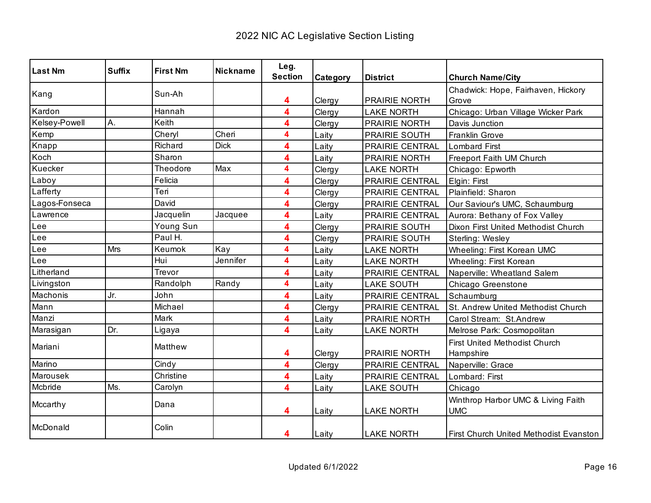| <b>Last Nm</b> | <b>Suffix</b> | <b>First Nm</b> | <b>Nickname</b> | Leg.           |          |                        |                                               |
|----------------|---------------|-----------------|-----------------|----------------|----------|------------------------|-----------------------------------------------|
|                |               |                 |                 | <b>Section</b> | Category | <b>District</b>        | <b>Church Name/City</b>                       |
| Kang           |               | Sun-Ah          |                 |                |          |                        | Chadwick: Hope, Fairhaven, Hickory            |
|                |               |                 |                 | 4              | Clergy   | <b>PRAIRIE NORTH</b>   | Grove                                         |
| Kardon         |               | Hannah          |                 | 4              | Clergy   | <b>LAKE NORTH</b>      | Chicago: Urban Village Wicker Park            |
| Kelsey-Powell  | Α.            | Keith           |                 | 4              | Clergy   | <b>PRAIRIE NORTH</b>   | Davis Junction                                |
| Kemp           |               | Cheryl          | Cheri           | 4              | Laity    | PRAIRIE SOUTH          | Franklin Grove                                |
| Knapp          |               | Richard         | <b>Dick</b>     | 4              | Laity    | PRAIRIE CENTRAL        | <b>Lombard First</b>                          |
| Koch           |               | Sharon          |                 | 4              | Laity    | PRAIRIE NORTH          | Freeport Faith UM Church                      |
| Kuecker        |               | Theodore        | Max             | 4              | Clergy   | <b>LAKE NORTH</b>      | Chicago: Epworth                              |
| Laboy          |               | Felicia         |                 | 4              | Clergy   | PRAIRIE CENTRAL        | Elgin: First                                  |
| Lafferty       |               | Teri            |                 | 4              | Clergy   | PRAIRIE CENTRAL        | Plainfield: Sharon                            |
| Lagos-Fonseca  |               | David           |                 | 4              | Clergy   | PRAIRIE CENTRAL        | Our Saviour's UMC, Schaumburg                 |
| Lawrence       |               | Jacquelin       | Jacquee         | 4              | Laity    | PRAIRIE CENTRAL        | Aurora: Bethany of Fox Valley                 |
| ∟ee            |               | Young Sun       |                 | 4              | Clergy   | <b>PRAIRIE SOUTH</b>   | Dixon First United Methodist Church           |
| Lee            |               | Paul H.         |                 | 4              | Clergy   | PRAIRIE SOUTH          | Sterling: Wesley                              |
| -ee            | Mrs           | Keumok          | Kay             | 4              | Laity    | <b>LAKE NORTH</b>      | Wheeling: First Korean UMC                    |
| -ee            |               | Hui             | Jennifer        | 4              | Laity    | <b>LAKE NORTH</b>      | Wheeling: First Korean                        |
| Litherland     |               | Trevor          |                 | 4              | Laity    | PRAIRIE CENTRAL        | Naperville: Wheatland Salem                   |
| Livingston     |               | Randolph        | Randy           | 4              | Laity    | <b>LAKE SOUTH</b>      | Chicago Greenstone                            |
| Machonis       | Jr.           | John            |                 | 4              | Laity    | <b>PRAIRIE CENTRAL</b> | Schaumburg                                    |
| Mann           |               | Michael         |                 | 4              | Clergy   | <b>PRAIRIE CENTRAL</b> | St. Andrew United Methodist Church            |
| Manzi          |               | Mark            |                 | 4              | Laity    | PRAIRIE NORTH          | Carol Stream: St.Andrew                       |
| Marasigan      | Dr.           | Ligaya          |                 | 4              | Laity    | <b>LAKE NORTH</b>      | Melrose Park: Cosmopolitan                    |
|                |               | Matthew         |                 |                |          |                        | <b>First United Methodist Church</b>          |
| Mariani        |               |                 |                 | 4              | Clergy   | PRAIRIE NORTH          | Hampshire                                     |
| Marino         |               | Cindy           |                 | 4              | Clergy   | PRAIRIE CENTRAL        | Naperville: Grace                             |
| Marousek       |               | Christine       |                 | 4              | Laity    | PRAIRIE CENTRAL        | Lombard: First                                |
| Mcbride        | Ms.           | Carolyn         |                 | 4              | Laity    | <b>LAKE SOUTH</b>      | Chicago                                       |
|                |               |                 |                 |                |          |                        | Winthrop Harbor UMC & Living Faith            |
| Mccarthy       |               | Dana            |                 | 4              | Laity    | <b>LAKE NORTH</b>      | <b>UMC</b>                                    |
| McDonald       |               | Colin           |                 |                |          |                        |                                               |
|                |               |                 |                 | 4              | Laity    | <b>LAKE NORTH</b>      | <b>First Church United Methodist Evanston</b> |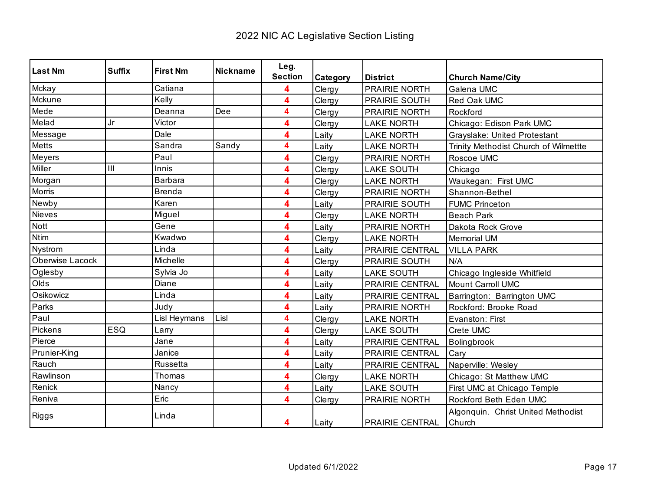| <b>Last Nm</b>  | <b>Suffix</b> | <b>First Nm</b> | <b>Nickname</b> | Leg.           |          |                        |                                              |
|-----------------|---------------|-----------------|-----------------|----------------|----------|------------------------|----------------------------------------------|
|                 |               |                 |                 | <b>Section</b> | Category | <b>District</b>        | <b>Church Name/City</b>                      |
| Mckay           |               | Catiana         |                 | 4              | Clergy   | PRAIRIE NORTH          | Galena UMC                                   |
| Mckune          |               | Kelly           |                 | 4              | Clergy   | PRAIRIE SOUTH          | Red Oak UMC                                  |
| Mede            |               | Deanna          | Dee             | 4              | Clergy   | <b>PRAIRIE NORTH</b>   | Rockford                                     |
| Melad           | Jr            | Victor          |                 | 4              | Clergy   | <b>LAKE NORTH</b>      | Chicago: Edison Park UMC                     |
| Message         |               | Dale            |                 | 4              | Laity    | <b>LAKE NORTH</b>      | Grayslake: United Protestant                 |
| <b>Metts</b>    |               | Sandra          | Sandy           | 4              | Laity    | <b>LAKE NORTH</b>      | Trinity Methodist Church of Wilmettte        |
| Meyers          |               | Paul            |                 | 4              | Clergy   | PRAIRIE NORTH          | Roscoe UMC                                   |
| Miller          | III           | Innis           |                 | 4              | Clergy   | <b>LAKE SOUTH</b>      | Chicago                                      |
| Morgan          |               | Barbara         |                 | 4              | Clergy   | <b>LAKE NORTH</b>      | Waukegan: First UMC                          |
| Morris          |               | <b>Brenda</b>   |                 | 4              | Clergy   | <b>PRAIRIE NORTH</b>   | Shannon-Bethel                               |
| Newby           |               | Karen           |                 | 4              | Laity    | PRAIRIE SOUTH          | <b>FUMC Princeton</b>                        |
| <b>Nieves</b>   |               | Miguel          |                 | 4              | Clergy   | <b>LAKE NORTH</b>      | <b>Beach Park</b>                            |
| Nott            |               | Gene            |                 | 4              | Laity    | <b>PRAIRIE NORTH</b>   | Dakota Rock Grove                            |
| <b>Ntim</b>     |               | Kwadwo          |                 | 4              | Clergy   | <b>LAKE NORTH</b>      | <b>Memorial UM</b>                           |
| Nystrom         |               | Linda           |                 | 4              | Laity    | PRAIRIE CENTRAL        | <b>VILLA PARK</b>                            |
| Oberwise Lacock |               | Michelle        |                 | 4              | Clergy   | <b>PRAIRIE SOUTH</b>   | N/A                                          |
| Oglesby         |               | Sylvia Jo       |                 | 4              | Laity    | <b>LAKE SOUTH</b>      | Chicago Ingleside Whitfield                  |
| Olds            |               | Diane           |                 | 4              | Laity    | PRAIRIE CENTRAL        | Mount Carroll UMC                            |
| Osikowicz       |               | Linda           |                 | 4              | Laity    | PRAIRIE CENTRAL        | Barrington: Barrington UMC                   |
| Parks           |               | Judy            |                 | 4              | Laity    | <b>PRAIRIE NORTH</b>   | Rockford: Brooke Road                        |
| Paul            |               | Lisl Heymans    | Lisl            | 4              | Clergy   | <b>LAKE NORTH</b>      | Evanston: First                              |
| Pickens         | ESQ           | Larry           |                 | 4              | Clergy   | <b>LAKE SOUTH</b>      | Crete UMC                                    |
| Pierce          |               | Jane            |                 | 4              | Laity    | PRAIRIE CENTRAL        | Bolingbrook                                  |
| Prunier-King    |               | Janice          |                 | 4              | Laity    | PRAIRIE CENTRAL        | Cary                                         |
| Rauch           |               | Russetta        |                 | 4              | Laity    | PRAIRIE CENTRAL        | Naperville: Wesley                           |
| Rawlinson       |               | Thomas          |                 | 4              | Clergy   | <b>LAKE NORTH</b>      | Chicago: St Matthew UMC                      |
| Renick          |               | Nancy           |                 | 4              | Laity    | <b>LAKE SOUTH</b>      | First UMC at Chicago Temple                  |
| Reniva          |               | Eric            |                 | 4              | Clergy   | PRAIRIE NORTH          | Rockford Beth Eden UMC                       |
| Riggs           |               | Linda           |                 | 4              | Laity    | <b>PRAIRIE CENTRAL</b> | Algonquin. Christ United Methodist<br>Church |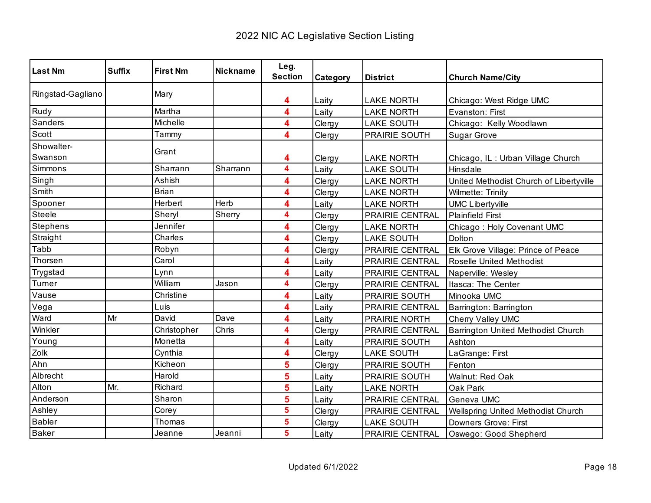| <b>Last Nm</b>        | <b>Suffix</b> | <b>First Nm</b> | <b>Nickname</b> | Leg.<br><b>Section</b> | Category | <b>District</b>        | <b>Church Name/City</b>                 |
|-----------------------|---------------|-----------------|-----------------|------------------------|----------|------------------------|-----------------------------------------|
| Ringstad-Gagliano     |               | Mary            |                 | 4                      | Laity    | <b>LAKE NORTH</b>      | Chicago: West Ridge UMC                 |
| Rudy                  |               | Martha          |                 | 4                      | Laity    | <b>LAKE NORTH</b>      | Evanston: First                         |
| Sanders               |               | Michelle        |                 | 4                      | Clergy   | <b>LAKE SOUTH</b>      | Chicago: Kelly Woodlawn                 |
| Scott                 |               | Tammy           |                 | 4                      | Clergy   | PRAIRIE SOUTH          | <b>Sugar Grove</b>                      |
| Showalter-<br>Swanson |               | Grant           |                 | 4                      | Clergy   | <b>LAKE NORTH</b>      | Chicago, IL: Urban Village Church       |
| Simmons               |               | Sharrann        | Sharrann        | 4                      | Laity    | <b>LAKE SOUTH</b>      | Hinsdale                                |
| Singh                 |               | Ashish          |                 | 4                      | Clergy   | <b>LAKE NORTH</b>      | United Methodist Church of Libertyville |
| Smith                 |               | <b>Brian</b>    |                 | 4                      | Clergy   | <b>LAKE NORTH</b>      | Wilmette: Trinity                       |
| Spooner               |               | Herbert         | Herb            | 4                      | Laity    | <b>LAKE NORTH</b>      | <b>UMC Libertyville</b>                 |
| <b>Steele</b>         |               | Sheryl          | Sherry          | 4                      | Clergy   | <b>PRAIRIE CENTRAL</b> | <b>Plainfield First</b>                 |
| <b>Stephens</b>       |               | Jennifer        |                 | 4                      | Clergy   | <b>LAKE NORTH</b>      | Chicago: Holy Covenant UMC              |
| Straight              |               | Charles         |                 | 4                      | Clergy   | <b>LAKE SOUTH</b>      | Dolton                                  |
| Tabb                  |               | Robyn           |                 | 4                      | Clergy   | <b>PRAIRIE CENTRAL</b> | Elk Grove Village: Prince of Peace      |
| Thorsen               |               | Carol           |                 | 4                      | Laity    | PRAIRIE CENTRAL        | Roselle United Methodist                |
| Trygstad              |               | Lynn            |                 | 4                      | Laity    | <b>PRAIRIE CENTRAL</b> | Naperville: Wesley                      |
| Turner                |               | William         | Jason           | 4                      | Clergy   | PRAIRIE CENTRAL        | Itasca: The Center                      |
| Vause                 |               | Christine       |                 | 4                      | Laity    | PRAIRIE SOUTH          | Minooka UMC                             |
| Vega                  |               | Luis            |                 | 4                      | Laity    | PRAIRIE CENTRAL        | Barrington: Barrington                  |
| Ward                  | Mr            | David           | Dave            | 4                      | Laity    | PRAIRIE NORTH          | Cherry Valley UMC                       |
| Winkler               |               | Christopher     | Chris           | 4                      | Clergy   | PRAIRIE CENTRAL        | Barrington United Methodist Church      |
| Young                 |               | Monetta         |                 | 4                      | Laity    | <b>PRAIRIE SOUTH</b>   | Ashton                                  |
| Zolk                  |               | Cynthia         |                 | 4                      | Clergy   | <b>LAKE SOUTH</b>      | LaGrange: First                         |
| Ahn                   |               | Kicheon         |                 | 5                      | Clergy   | PRAIRIE SOUTH          | Fenton                                  |
| Albrecht              |               | Harold          |                 | 5                      | Laity    | PRAIRIE SOUTH          | Walnut: Red Oak                         |
| Alton                 | Mr.           | Richard         |                 | 5                      | Laity    | <b>LAKE NORTH</b>      | Oak Park                                |
| Anderson              |               | Sharon          |                 | 5                      | Laity    | PRAIRIE CENTRAL        | Geneva UMC                              |
| Ashley                |               | Corey           |                 | 5                      | Clergy   | PRAIRIE CENTRAL        | Wellspring United Methodist Church      |
| <b>Babler</b>         |               | Thomas          |                 | 5                      | Clergy   | <b>LAKE SOUTH</b>      | <b>Downers Grove: First</b>             |
| <b>Baker</b>          |               | Jeanne          | Jeanni          | $5\phantom{a}$         | Laity    | PRAIRIE CENTRAL        | Oswego: Good Shepherd                   |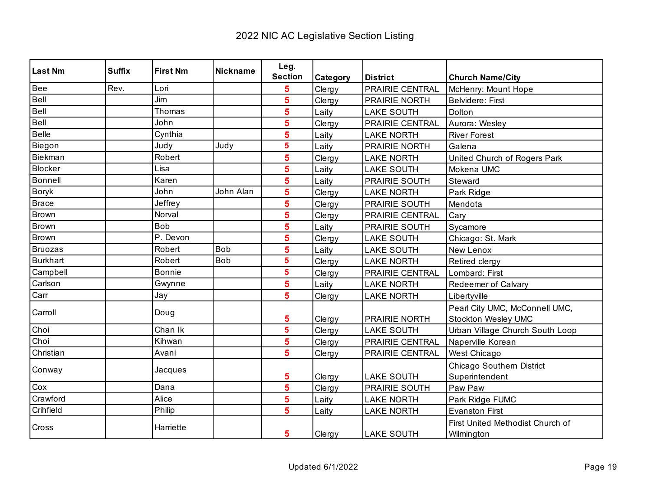| <b>Last Nm</b>  | <b>Suffix</b> | <b>First Nm</b> | <b>Nickname</b> | Leg.           |          |                      |                                                |
|-----------------|---------------|-----------------|-----------------|----------------|----------|----------------------|------------------------------------------------|
|                 |               |                 |                 | <b>Section</b> | Category | <b>District</b>      | <b>Church Name/City</b>                        |
| Bee             | Rev.          | Lori            |                 | 5              | Clergy   | PRAIRIE CENTRAL      | McHenry: Mount Hope                            |
| Bell            |               | Jim             |                 | 5              | Clergy   | <b>PRAIRIE NORTH</b> | <b>Belvidere: First</b>                        |
| Bell            |               | Thomas          |                 | 5              | Laity    | <b>LAKE SOUTH</b>    | Dolton                                         |
| Bell            |               | John            |                 | 5              | Clergy   | PRAIRIE CENTRAL      | Aurora: Wesley                                 |
| Belle           |               | Cynthia         |                 | 5              | Laity    | <b>LAKE NORTH</b>    | <b>River Forest</b>                            |
| Biegon          |               | Judy            | Judy            | 5              | Laity    | PRAIRIE NORTH        | Galena                                         |
| Biekman         |               | Robert          |                 | 5              | Clergy   | <b>LAKE NORTH</b>    | United Church of Rogers Park                   |
| <b>Blocker</b>  |               | Lisa            |                 | 5              | Laity    | <b>LAKE SOUTH</b>    | Mokena UMC                                     |
| Bonnell         |               | Karen           |                 | 5              | Laity    | PRAIRIE SOUTH        | Steward                                        |
| <b>Boryk</b>    |               | John            | John Alan       | 5              | Clergy   | <b>LAKE NORTH</b>    | Park Ridge                                     |
| <b>Brace</b>    |               | Jeffrey         |                 | 5              | Clergy   | PRAIRIE SOUTH        | Mendota                                        |
| <b>Brown</b>    |               | Norval          |                 | 5              | Clergy   | PRAIRIE CENTRAL      | Cary                                           |
| Brown           |               | <b>Bob</b>      |                 | 5              | Laity    | PRAIRIE SOUTH        | Sycamore                                       |
| <b>Brown</b>    |               | P. Devon        |                 | 5              | Clergy   | <b>LAKE SOUTH</b>    | Chicago: St. Mark                              |
| <b>Bruozas</b>  |               | Robert          | <b>Bob</b>      | 5              | Laity    | <b>LAKE SOUTH</b>    | New Lenox                                      |
| <b>Burkhart</b> |               | Robert          | <b>Bob</b>      | 5              | Clergy   | <b>LAKE NORTH</b>    | Retired clergy                                 |
| Campbell        |               | <b>Bonnie</b>   |                 | 5              | Clergy   | PRAIRIE CENTRAL      | Lombard: First                                 |
| Carlson         |               | Gwynne          |                 | 5              | Laity    | <b>LAKE NORTH</b>    | Redeemer of Calvary                            |
| Carr            |               | Jay             |                 | 5              | Clergy   | <b>LAKE NORTH</b>    | Libertyville                                   |
| Carroll         |               | Doug            |                 |                |          |                      | Pearl City UMC, McConnell UMC,                 |
|                 |               |                 |                 | 5              | Clergy   | PRAIRIE NORTH        | Stockton Wesley UMC                            |
| Choi            |               | Chan Ik         |                 | 5              | Clergy   | <b>LAKE SOUTH</b>    | Urban Village Church South Loop                |
| Choi            |               | Kihwan          |                 | 5              | Clergy   | PRAIRIE CENTRAL      | Naperville Korean                              |
| Christian       |               | Avani           |                 | 5              | Clergy   | PRAIRIE CENTRAL      | West Chicago                                   |
|                 |               | Jacques         |                 |                |          |                      | Chicago Southern District                      |
| Conway          |               |                 |                 | 5              | Clergy   | <b>LAKE SOUTH</b>    | Superintendent                                 |
| Cox             |               | Dana            |                 | 5              | Clergy   | PRAIRIE SOUTH        | Paw Paw                                        |
| Crawford        |               | Alice           |                 | 5              | Laity    | <b>LAKE NORTH</b>    | Park Ridge FUMC                                |
| Crihfield       |               | Philip          |                 | 5              | Laity    | <b>LAKE NORTH</b>    | <b>Evanston First</b>                          |
| Cross           |               | Harriette       |                 | 5              | Clergy   | <b>LAKE SOUTH</b>    | First United Methodist Church of<br>Wilmington |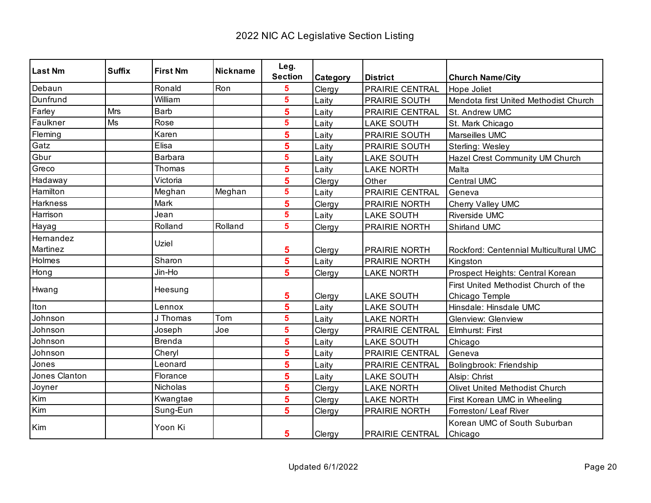| <b>Last Nm</b>  | <b>Suffix</b> | <b>First Nm</b> | <b>Nickname</b> | Leg.                    |                 |                        |                                         |
|-----------------|---------------|-----------------|-----------------|-------------------------|-----------------|------------------------|-----------------------------------------|
|                 |               |                 |                 | <b>Section</b>          | <b>Category</b> | <b>District</b>        | <b>Church Name/City</b>                 |
| Debaun          |               | Ronald          | Ron             | 5                       | Clergy          | PRAIRIE CENTRAL        | Hope Joliet                             |
| Dunfrund        |               | William         |                 | $\overline{\mathbf{5}}$ | Laity           | <b>PRAIRIE SOUTH</b>   | Mendota first United Methodist Church   |
| Farley          | Mrs           | Barb            |                 | 5                       | Laity           | PRAIRIE CENTRAL        | St. Andrew UMC                          |
| Faulkner        | Ms            | Rose            |                 | $\overline{\mathbf{5}}$ | Laity           | <b>LAKE SOUTH</b>      | St. Mark Chicago                        |
| Fleming         |               | Karen           |                 | 5                       | Laity           | PRAIRIE SOUTH          | Marseilles UMC                          |
| Gatz            |               | Elisa           |                 | 5                       | Laity           | PRAIRIE SOUTH          | Sterling: Wesley                        |
| Gbur            |               | <b>Barbara</b>  |                 | $\overline{\mathbf{5}}$ | Laity           | <b>LAKE SOUTH</b>      | Hazel Crest Community UM Church         |
| Greco           |               | Thomas          |                 | 5                       | Laity           | <b>LAKE NORTH</b>      | Malta                                   |
| Hadaway         |               | Victoria        |                 | 5                       | Clergy          | Other                  | <b>Central UMC</b>                      |
| Hamilton        |               | Meghan          | Meghan          | $\overline{\mathbf{5}}$ | Laity           | PRAIRIE CENTRAL        | Geneva                                  |
| <b>Harkness</b> |               | Mark            |                 | 5                       | Clergy          | <b>PRAIRIE NORTH</b>   | Cherry Valley UMC                       |
| Harrison        |               | Jean            |                 | $\overline{\mathbf{5}}$ | Laity           | <b>LAKE SOUTH</b>      | <b>Riverside UMC</b>                    |
| Hayag           |               | Rolland         | Rolland         | $\overline{\mathbf{5}}$ | Clergy          | <b>PRAIRIE NORTH</b>   | Shirland UMC                            |
| Hemandez        |               | Uziel           |                 |                         |                 |                        |                                         |
| Martinez        |               |                 |                 | 5                       | Clergy          | PRAIRIE NORTH          | Rockford: Centennial Multicultural UMC  |
| Holmes          |               | Sharon          |                 | $\overline{\mathbf{5}}$ | Laity           | PRAIRIE NORTH          | Kingston                                |
| Hong            |               | Jin-Ho          |                 | $5\phantom{1}$          | Clergy          | <b>LAKE NORTH</b>      | Prospect Heights: Central Korean        |
| Hwang           |               | Heesung         |                 |                         |                 |                        | First United Methodist Church of the    |
|                 |               |                 |                 | 5                       | Clergy          | <b>LAKE SOUTH</b>      | Chicago Temple                          |
| <b>I</b> ton    |               | Lennox          |                 | 5                       | Laity           | <b>LAKE SOUTH</b>      | Hinsdale: Hinsdale UMC                  |
| Johnson         |               | J Thomas        | Tom             | $5\phantom{a}$          | Laity           | <b>LAKE NORTH</b>      | <b>Glenview: Glenview</b>               |
| Johnson         |               | Joseph          | Joe             | $\overline{\mathbf{5}}$ | Clergy          | <b>PRAIRIE CENTRAL</b> | Elmhurst: First                         |
| Johnson         |               | <b>Brenda</b>   |                 | 5                       | Laity           | <b>LAKE SOUTH</b>      | Chicago                                 |
| Johnson         |               | Cheryl          |                 | 5                       | Laity           | <b>PRAIRIE CENTRAL</b> | Geneva                                  |
| Jones           |               | Leonard         |                 | 5                       | Laity           | PRAIRIE CENTRAL        | Bolingbrook: Friendship                 |
| Jones Clanton   |               | Florance        |                 | 5                       | Laity           | <b>LAKE SOUTH</b>      | Alsip: Christ                           |
| Joyner          |               | <b>Nicholas</b> |                 | 5                       | Clergy          | <b>LAKE NORTH</b>      | Olivet United Methodist Church          |
| Kim             |               | Kwangtae        |                 | 5                       | Clergy          | <b>LAKE NORTH</b>      | First Korean UMC in Wheeling            |
| Kim             |               | Sung-Eun        |                 | 5                       | Clergy          | PRAIRIE NORTH          | Forreston/ Leaf River                   |
| Kim             |               | Yoon Ki         |                 | 5                       | Clergy          | <b>PRAIRIE CENTRAL</b> | Korean UMC of South Suburban<br>Chicago |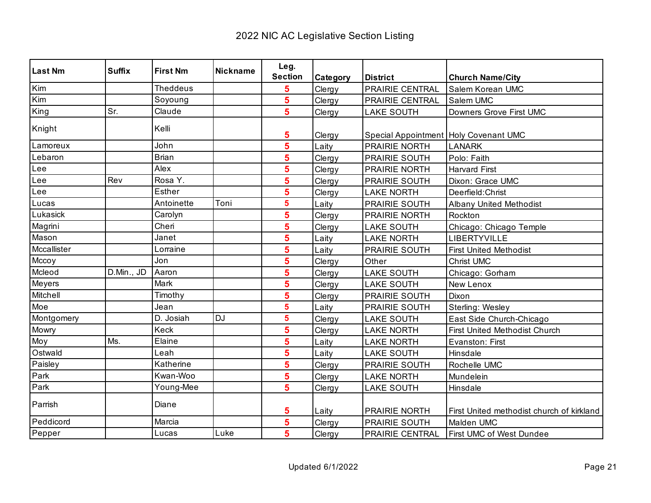| <b>Last Nm</b> | <b>Suffix</b> | <b>First Nm</b> | <b>Nickname</b> | Leg.           |          |                                       |                                           |
|----------------|---------------|-----------------|-----------------|----------------|----------|---------------------------------------|-------------------------------------------|
|                |               |                 |                 | <b>Section</b> | Category | <b>District</b>                       | <b>Church Name/City</b>                   |
| Kim            |               | <b>Theddeus</b> |                 | 5              | Clergy   | PRAIRIE CENTRAL                       | Salem Korean UMC                          |
| Kim            |               | Soyoung         |                 | 5              | Clergy   | PRAIRIE CENTRAL                       | Salem UMC                                 |
| King           | Sr.           | Claude          |                 | 5              | Clergy   | <b>LAKE SOUTH</b>                     | Downers Grove First UMC                   |
| Knight         |               | Kelli           |                 | 5              | Clergy   | Special Appointment Holy Covenant UMC |                                           |
| Lamoreux       |               | John            |                 | 5              | Laity    | PRAIRIE NORTH                         | <b>LANARK</b>                             |
| Lebaron        |               | <b>Brian</b>    |                 | 5              | Clergy   | PRAIRIE SOUTH                         | Polo: Faith                               |
| Lee            |               | Alex            |                 | 5              | Clergy   | PRAIRIE NORTH                         | <b>Harvard First</b>                      |
| Lee            | Rev           | Rosa Y.         |                 | 5              | Clergy   | PRAIRIE SOUTH                         | Dixon: Grace UMC                          |
| Lee            |               | Esther          |                 | 5              | Clergy   | <b>LAKE NORTH</b>                     | Deerfield: Christ                         |
| Lucas          |               | Antoinette      | Toni            | 5              | Laity    | PRAIRIE SOUTH                         | <b>Albany United Methodist</b>            |
| Lukasick       |               | Carolyn         |                 | 5              | Clergy   | PRAIRIE NORTH                         | Rockton                                   |
| Magrini        |               | Cheri           |                 | 5              | Clergy   | <b>LAKE SOUTH</b>                     | Chicago: Chicago Temple                   |
| Mason          |               | Janet           |                 | 5              | Laity    | <b>LAKE NORTH</b>                     | LIBERTYVILLE                              |
| Mccallister    |               | Lorraine        |                 | 5              | Laity    | PRAIRIE SOUTH                         | <b>First United Methodist</b>             |
| Mccoy          |               | Jon             |                 | 5              | Clergy   | Other                                 | Christ UMC                                |
| Mcleod         | D.Min., JD    | Aaron           |                 | 5              | Clergy   | <b>LAKE SOUTH</b>                     | Chicago: Gorham                           |
| Meyers         |               | Mark            |                 | 5              | Clergy   | <b>LAKE SOUTH</b>                     | New Lenox                                 |
| Mitchell       |               | Timothy         |                 | 5              | Clergy   | PRAIRIE SOUTH                         | Dixon                                     |
| Moe            |               | Jean            |                 | 5              | Laity    | PRAIRIE SOUTH                         | Sterling: Wesley                          |
| Montgomery     |               | D. Josiah       | <b>DJ</b>       | 5              | Clergy   | <b>LAKE SOUTH</b>                     | East Side Church-Chicago                  |
| Mowry          |               | Keck            |                 | 5              | Clergy   | <b>LAKE NORTH</b>                     | First United Methodist Church             |
| Moy            | Ms.           | Elaine          |                 | 5              | Laity    | <b>LAKE NORTH</b>                     | Evanston: First                           |
| Ostwald        |               | Leah            |                 | 5              | Laity    | <b>LAKE SOUTH</b>                     | Hinsdale                                  |
| Paisley        |               | Katherine       |                 | 5              | Clergy   | PRAIRIE SOUTH                         | Rochelle UMC                              |
| Park           |               | Kwan-Woo        |                 | 5              | Clergy   | <b>LAKE NORTH</b>                     | Mundelein                                 |
| Park           |               | Young-Mee       |                 | 5              | Clergy   | <b>LAKE SOUTH</b>                     | Hinsdale                                  |
| Parrish        |               | Diane           |                 | 5              | Laity    | PRAIRIE NORTH                         | First United methodist church of kirkland |
| Peddicord      |               | Marcia          |                 | 5              | Clergy   | PRAIRIE SOUTH                         | Malden UMC                                |
| Pepper         |               | Lucas           | Luke            | 5              | Clergy   | PRAIRIE CENTRAL                       | First UMC of West Dundee                  |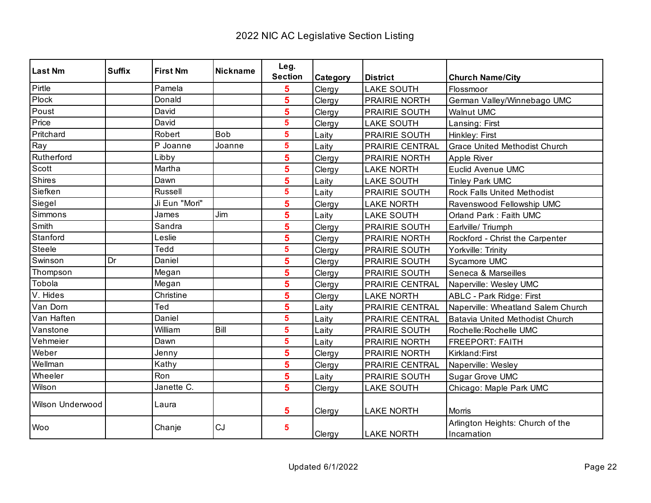| <b>Last Nm</b>          | <b>Suffix</b> | <b>First Nm</b> | <b>Nickname</b> | Leg.           |          |                      |                                                 |
|-------------------------|---------------|-----------------|-----------------|----------------|----------|----------------------|-------------------------------------------------|
|                         |               |                 |                 | <b>Section</b> | Category | <b>District</b>      | <b>Church Name/City</b>                         |
| Pirtle                  |               | Pamela          |                 | 5              | Clergy   | <b>LAKE SOUTH</b>    | Flossmoor                                       |
| Plock                   |               | Donald          |                 | 5              | Clergy   | PRAIRIE NORTH        | German Valley/Winnebago UMC                     |
| Poust                   |               | David           |                 | 5              | Clergy   | PRAIRIE SOUTH        | <b>Walnut UMC</b>                               |
| Price                   |               | David           |                 | 5              | Clergy   | <b>LAKE SOUTH</b>    | Lansing: First                                  |
| Pritchard               |               | Robert          | <b>Bob</b>      | 5              | Laity    | PRAIRIE SOUTH        | Hinkley: First                                  |
| Ray                     |               | P Joanne        | Joanne          | 5              | Laity    | PRAIRIE CENTRAL      | <b>Grace United Methodist Church</b>            |
| Rutherford              |               | Libby           |                 | 5              | Clergy   | PRAIRIE NORTH        | Apple River                                     |
| Scott                   |               | Martha          |                 | 5              | Clergy   | <b>LAKE NORTH</b>    | Euclid Avenue UMC                               |
| Shires                  |               | Dawn            |                 | 5              | Laity    | <b>LAKE SOUTH</b>    | <b>Tinley Park UMC</b>                          |
| Siefken                 |               | <b>Russell</b>  |                 | 5              | Laity    | PRAIRIE SOUTH        | <b>Rock Falls United Methodist</b>              |
| Siegel                  |               | Ji Eun "Mori"   |                 | 5              | Clergy   | <b>LAKE NORTH</b>    | Ravenswood Fellowship UMC                       |
| Simmons                 |               | James           | Jim             | 5              | Laity    | <b>LAKE SOUTH</b>    | Orland Park: Faith UMC                          |
| Smith                   |               | Sandra          |                 | 5              | Clergy   | PRAIRIE SOUTH        | Earlville/Triumph                               |
| Stanford                |               | Leslie          |                 | 5              | Clergy   | PRAIRIE NORTH        | Rockford - Christ the Carpenter                 |
| Steele                  |               | Tedd            |                 | 5              | Clergy   | PRAIRIE SOUTH        | Yorkville: Trinity                              |
| Swinson                 | Dr            | Daniel          |                 | 5              | Clergy   | PRAIRIE SOUTH        | Sycamore UMC                                    |
| Thompson                |               | Megan           |                 | 5              | Clergy   | <b>PRAIRIE SOUTH</b> | Seneca & Marseilles                             |
| Tobola                  |               | Megan           |                 | 5              | Clergy   | PRAIRIE CENTRAL      | Naperville: Wesley UMC                          |
| V. Hides                |               | Christine       |                 | 5              | Clergy   | <b>LAKE NORTH</b>    | ABLC - Park Ridge: First                        |
| Van Dorn                |               | Ted             |                 | 5              | Laity    | PRAIRIE CENTRAL      | Naperville: Wheatland Salem Church              |
| Van Haften              |               | Daniel          |                 | 5              | Laity    | PRAIRIE CENTRAL      | Batavia United Methodist Church                 |
| Vanstone                |               | William         | Bill            | 5              | Laity    | PRAIRIE SOUTH        | Rochelle: Rochelle UMC                          |
| Vehmeier                |               | Dawn            |                 | 5              | Laity    | <b>PRAIRIE NORTH</b> | <b>FREEPORT: FAITH</b>                          |
| Weber                   |               | Jenny           |                 | 5              | Clergy   | PRAIRIE NORTH        | Kirkland: First                                 |
| Wellman                 |               | Kathy           |                 | 5              | Clergy   | PRAIRIE CENTRAL      | Naperville: Wesley                              |
| Wheeler                 |               | <b>Ron</b>      |                 | 5              | Laity    | <b>PRAIRIE SOUTH</b> | Sugar Grove UMC                                 |
| Wilson                  |               | Janette C.      |                 | 5              | Clergy   | <b>LAKE SOUTH</b>    | Chicago: Maple Park UMC                         |
| <b>Wilson Underwood</b> |               | Laura           |                 | 5              | Clergy   | <b>LAKE NORTH</b>    | Morris                                          |
| Woo                     |               | Chanje          | CJ              | 5              | Clergy   | <b>LAKE NORTH</b>    | Arlington Heights: Church of the<br>Incarnation |